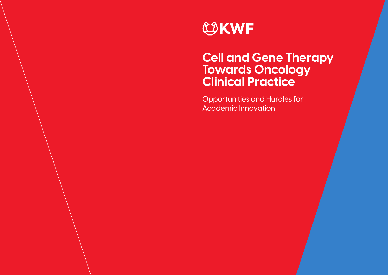

# **Cell and Gene Therapy Towards Oncology Clinical Practice**

Opportunities and Hurdles for Academic Innovation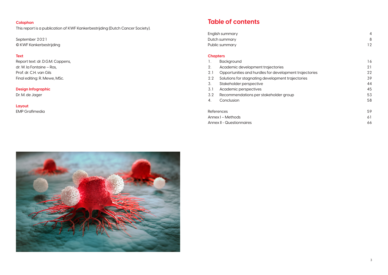English summary 4 Dutch summary Public summary

## **Table of contents**

#### **Chapters**

- 1. Background
- 2. Academic development trajectories
- 2.1 Opportunities and hurdles for development
- 2.2 Solutions for stagnating development traje
- 3. Stakeholder perspective
- 3.1 Academic perspectives
- 3.2 Recommendations per stakeholder group
- 4. Conclusion

References Annex I – Methods Annex II - Questionnaires



|                 | $\overline{4}$ |
|-----------------|----------------|
|                 | 8              |
|                 | 12             |
|                 |                |
|                 |                |
|                 | 16             |
|                 | 21             |
| nt trajectories | 22             |
| ectories        | 39             |
|                 | 44             |
|                 | 45             |
|                 | 53             |
|                 | 58             |
|                 |                |
|                 | 59             |
|                 | 61             |
|                 | 66             |

#### **Colophon**

This report is a publication of KWF Kankerbestrijding (Dutch Cancer Society).

September 2021 © KWF Kankerbestrijding

#### **Text**

Report text: dr. D.G.M. Coppens, dr. W. la Fontaine – Ros, Prof. dr. C.H. van Gils Final editing: R. Mewe, MSc.

#### **Design Infographic**

Dr. M. de Jager

**Layout** EMP Grafimedia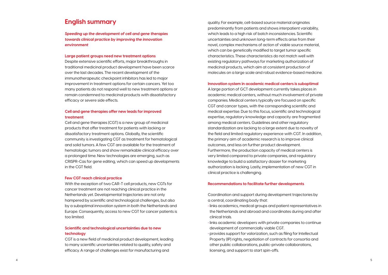quality. For example, cell-based source material originates predominantly from patients and shows interpatient variability, which leads to a high risk of batch inconsistencies. Scientific uncertainties and unknown long-term effects arise from their novel, complex mechanisms of action of viable source material, which can be genetically modified to target tumor specific characteristics. These characteristics do not match well with existing regulatory pathways for marketing authorization of medicinal products, which aim at consistent production of molecules on a large scale and robust evidence-based medicine.

#### **Innovation system in academic medical centers is suboptimal**

A large portion of GCT development currently takes places in academic medical centers, without much involvement of private companies. Medical centers typically are focused on specific CGT and cancer types, with the corresponding scientific and medical expertise. Due to this focus, scientific and technological expertise, regulatory knowledge and capacity are fragmented among medical centers. Guidelines and other regulatory standardization are lacking to a large extent due to novelty of the field and limited regulatory experience with CGT. In addition, the primary aim of academic research is to improve clinical outcomes, and less on further product development. Furthermore, the production capacity of medical centers is very limited compared to private companies, and regulatory knowledge to build a satisfactory dossier for marketing authorization is lacking. Lastly, implementation of new CGT in clinical practice is challenging.

#### **Recommendations to facilitate further developments**

Coordination and support during development trajectories by a central, coordinating body that:

- **•** links academics, medical groups and patient representatives in the Netherlands and abroad and coordinates during and after clinical trials.
- **•** links academic developers with private companies to continue development of commercially viable CGT.
- **•** provides support for valorization, such as filing for Intellectual Property (IP) rights, negotiation of contracts for consortia and other public collaborations, public-private collaborations, licensing, and support to start spin-offs.

### **English summary**

*Speeding up the development of cell and gene therapies towards clinical practice by improving the innovation environment*

#### **Large patient groups need new treatment options**

Despite extensive scientific efforts, major breakthroughs in traditional medicinal product development have been scarce over the last decades. The recent development of the immunotherapeutic checkpoint inhibitors has led to major improvement in treatment options for certain cancers. Yet too many patients do not respond well to new treatment options or remain condemned to medicinal products with dissatisfactory efficacy or severe side effects.

#### **Cell and gene therapies offer new leads for improved treatment**

Cell and gene therapies (CGT) is a new group of medicinal products that offer treatment for patients with lacking or dissatisfactory treatment options. Globally, the scientific community is investigating CGT as treatment for hematological and solid tumors. A few CGT are available for the treatment of hematologic tumors and show remarkable clinical efficacy over a prolonged time. New technologies are emerging, such as CRISPR-Cas for gene editing, which can speed up developments in the CGT field.

#### **Few CGT reach clinical practice**

With the exception of two CAR-T cell products, new CGTs for cancer treatment are not reaching clinical practice in the Netherlands yet. Developmental trajectories are not only hampered by scientific and technological challenges, but also by a suboptimal innovation system in both the Netherlands and Europe. Consequently, access to new CGT for cancer patients is too limited.

#### **Scientific and technological uncertainties due to new technology**

CGT is a new field of medicinal product development, leading to many scientific uncertainties related to quality, safety and efficacy. A range of challenges exist for manufacturing and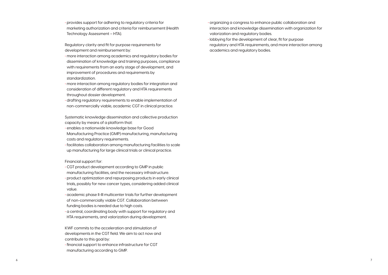- **•** organizing a congress to enhance public collaboration and interaction and knowledge dissemination with organization for valorization and regulatory bodies.
- **•** lobbying for the development of clear, fit for purpose regulatory and HTA requirements, and more interaction among academics and regulatory bodies.

**•** provides support for adhering to regulatory criteria for marketing authorization and criteria for reimbursement (Health Technology Assessment – HTA).

Regulatory clarity and fit for purpose requirements for development and reimbursement by:

- **•** more interaction among academics and regulatory bodies for dissemination of knowledge and training purposes, compliance with requirements from an early stage of development, and improvement of procedures and requirements by standardization.
- **•** more interaction among regulatory bodies for integration and consideration of different regulatory and HTA requirements throughout dossier development.
- **•** drafting regulatory requirements to enable implementation of non-commercially viable, academic CGT in clinical practice.

Systematic knowledge dissemination and collective production capacity by means of a platform that:

- **•** enables a nationwide knowledge base for Good Manufacturing Practice (GMP) manufacturing, manufacturing costs and regulatory requirements.
- **•** facilitates collaboration among manufacturing facilities to scale up manufacturing for large clinical trials or clinical practice.

Financial support for:

- **•** CGT product development according to GMP in public manufacturing facilities, and the necessary infrastructure.
- **•** product optimization and repurposing products in early clinical trials, possibly for new cancer types, considering added clinical value.
- **•** academic phase II-III multicenter trials for further development of non-commercially viable CGT. Collaboration between funding bodies is needed due to high costs.
- **•** a central, coordinating body with support for regulatory and HTA requirements, and valorization during development.

KWF commits to the acceleration and stimulation of developments in the CGT field. We aim to act now and contribute to this goal by:

**•** financial support to enhance infrastructure for CGT manufacturing according to GMP.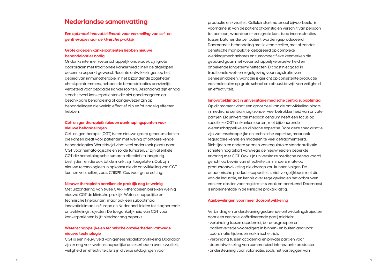productie en kwaliteit. Cellulair startmateriaal bijvoorbeeld, is voornamelijk van de patiënt afkomstig en verschilt van persoon tot persoon, waardoor er een grote kans is op inconsistenties tussen batches die per patiënt worden geproduceerd. Daarnaast is behandeling met levende cellen, met of zonder genetische manipulatie, gebaseerd op complexe werkingsmechanismes en tumorspecifieke kenmerken die gepaard gaan met wetenschappelijke onzekerheid en onbekende langetermijneffecten. Dit past niet goed in traditionele wet- en regelgeving voor registratie van geneesmiddelen, want die is gericht op consistente productie van moleculen op grote schaal en robuust bewijs van veiligheid en effectiviteit.

#### **Innovatieklimaat in universitaire medische centra suboptimaal**

Op dit moment vindt een groot deel van de ontwikkeling plaats in medische centra, (nog) zonder veel betrokkenheid van private partijen. Elk universitair medisch centrum heeft een focus op specifieke CGT en kankersoorten, met bijbehorende wetenschappelijke en klinische expertise. Door deze specialisatie zijn wetenschappelijke en technische expertise, maar ook regulatoire kennis en middelen te veel gefragmenteerd. Richtlijnen en andere vormen van regulatoire standaardisatie schieten nog tekort vanwege de nieuwheid en beperkte ervaring met CGT. Ook zijn universitaire medische centra vooral gericht op bewijs van effectiviteit, in mindere mate op productontwikkeling die daarop zou kunnen volgen. De academische productiecapaciteit is niet vergelijkbaar met die van de industrie, en kennis over regelgeving en het opbouwen van een dossier voor registratie is vaak ontoereikend. Daarnaast is implementatie in de klinische praktijk lastig.

#### **Aanbevelingen voor meer doorontwikkeling**

Verbinding en ondersteuning gedurende ontwikkelingstrajecten door een centrale, coördinerende partij middels: **•** verbinding tussen academici, beroepsgroepen en patiëntvertegenwoordigers in binnen- en buitenland voor coördinatie tijdens en na klinische trials.

- **•** verbinding tussen academici en private partijen voor doorontwikkeling van commercieel interessante producten.
- **•** ondersteuning voor valorisatie, zoals het vastleggen van
- 
- 
- 
- 

### **Nederlandse samenvatting**

*Een optimaal innovatieklimaat voor versnelling van cel- en gentherapie naar de klinische praktijk* 

#### **Grote groepen kankerpatiënten hebben nieuwe behandelopties nodig**

Ondanks intensief wetenschappelijk onderzoek zijn grote doorbraken met traditionele kankermedicijnen de afgelopen decennia beperkt geweest. Recente ontwikkelingen op het gebied van immunotherapie, in het bijzonder de zogeheten checkpointremmers, hebben de behandelopties aanzienlijk verbeterd voor bepaalde kankersoorten. Desondanks zijn er nog steeds teveel kankerpatiënten die niet goed reageren op beschikbare behandeling of aangewezen zijn op behandelingen die weinig effectief zijn en/of nadelig effecten hebben.

#### **Cel- en gentherapieën bieden aanknopingspunten voor nieuwe behandelingen**

Cel- en gentherapie (CGT) is een nieuwe groep geneesmiddelen die kansen biedt voor patiënten met weinig of ontoereikende behandelopties. Wereldwijd vindt veel onderzoek plaats naar CGT voor hematologische en solide tumoren. Er zijn al enkele CGT die hematologische tumoren effectief en langdurig bestrijden, en die ook tot de markt zijn toegelaten. Ook zijn nieuwe technologieën in opkomst die de ontwikkeling van CGT kunnen versnellen, zoals CRISPR-Cas voor gene editing.

#### **Nieuwe therapieën bereiken de praktijk nog te weinig**

Met uitzondering van twee CAR-T-therapieën bereiken weinig nieuwe CGT de klinische praktijk. Wetenschappelijke en technische knelpunten, maar ook een suboptimaal innovatieklimaat in Europa en Nederland, leiden tot stagnerende ontwikkelingstrajecten. De toegankelijkheid van CGT voor kankerpatiënten blijft hierdoor nog beperkt.

#### **Wetenschappelijke en technische onzekerheden vanwege nieuwe technologie**

CGT is een nieuw veld van geneesmiddelontwikkeling. Daardoor zijn er nog veel wetenschappelijke onzekerheden over kwaliteit, veiligheid en effectiviteit. Er zijn diverse uitdagingen voor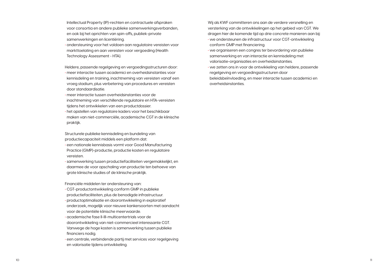Wij als KWF committeren ons aan de verdere versnelling en versterking van de ontwikkelingen op het gebied van CGT. We dragen hier de komende tijd op drie concrete manieren aan bij: **•** we ondersteunen de infrastructuur voor CGT-ontwikkeling conform GMP met financiering.

- **•** we organiseren een congres ter bevordering van publieke samenwerking en van interactie en kennisdeling met valorisatie-organisaties en overheidsinstanties.
- **•** we zetten ons in voor de ontwikkeling van heldere, passende regelgeving en vergoedingsstructuren door beleidsbeïnvloeding, en meer interactie tussen academici en overheidsinstanties.

Intellectual Property (IP)-rechten en contractuele afspraken voor consortia en andere publieke samenwerkingsverbanden, en ook bij het oprichten van spin-offs, publiek-private samenwerkingen en licentiëring.

**•** ondersteuning voor het voldoen aan regulatoire vereisten voor markttoelating en aan vereisten voor vergoeding (Health Technology Assessment - HTA).

Heldere, passende regelgeving en vergoedingsstructuren door:

- **•** meer interactie tussen academici en overheidsinstanties voor kennisdeling en training, inachtneming van vereisten vanaf een vroeg stadium, plus verbetering van procedures en vereisten door standaardisatie.
- **•** meer interactie tussen overheidsinstanties voor de inachtneming van verschillende regulatoire en HTA-vereisten tijdens het ontwikkelen van een productdossier.
- **•** het opstellen van regulatoire kaders voor het beschikbaar maken van niet-commerciële, academische CGT in de klinische praktijk.

Structurele publieke kennisdeling en bundeling van productiecapaciteit middels een platform dat:

- **•** een nationale kennisbasis vormt voor Good Manufacturing Practice (GMP)-productie, productie kosten en regulatoire vereisten.
- **•** samenwerking tussen productiefaciliteiten vergemakkelijkt, en daarmee de voor opschaling van productie ten behoeve van grote klinische studies of de klinische praktijk.

Financiële middelen ter ondersteuning van:

- **•** CGT-productontwikkeling conform GMP in publieke productiefaciliteiten, plus de benodigde infrastructuur.
- **•** productoptimalisatie en doorontwikkeling in exploratief onderzoek, mogelijk voor nieuwe kankersoorten met aandacht voor de potentiële klinische meerwaarde.
- **•** academische fase II-III-multicentertrials voor de doorontwikkeling van niet-commercieel interessante CGT. Vanwege de hoge kosten is samenwerking tussen publieke financiers nodig.
- **•** een centrale, verbindende partij met services voor regelgeving en valorisatie tijdens ontwikkeling.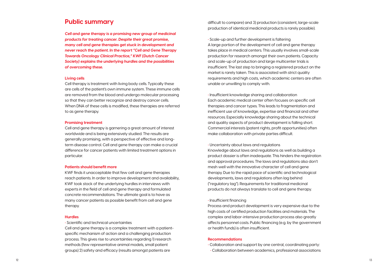difficult to compare) and 3) production (consistent, large-scale production of identical medicinal products is rarely possible).

**•** Scale-up and further development is faltering A large portion of the development of cell and gene therapy takes place in medical centers. This usually involves small-scale production for research amongst their own patients. Capacity and scale-up of production and large multicenter trials is insufficient. The last step to bringing a registered product on the market is rarely taken. This is associated with strict quality requirements and high costs, which academic centers are often unable or unwilling to comply with.

**•** Insufficient knowledge sharing and collaboration Each academic medical center often focuses on specific cell therapies and cancer types. This leads to fragmentation and inefficient use of knowledge, expertise and financial and other resources. Especially knowledge sharing about the technical and quality aspects of product development is falling short. Commercial interests (patent rights, profit opportunities) often make collaboration with private parties difficult.

**•** Uncertainty about laws and regulations

Knowledge about laws and regulations as well as building a product dossier is often inadequate. This hinders the registration and approval procedures. The laws and regulations also don't mesh well with the innovative character of cell and gene therapy. Due to the rapid pace of scientific and technological developments, laws and regulations often lag behind ("regulatory lag"). Requirements for traditional medicinal products do not always translate to cell and gene therapy.

#### **•** Insufficient financing

Process and product development is very expensive due to the high costs of certified production facilities and materials. The complex and labor-intensive production process also greatly affects personnel costs. Public financing (e.g. by the government or health funds) is often insufficient.

#### **Recommendations**

- **•** Collaboration and support by one central, coordinating party:
- **•** Collaboration between academics, professional associations

### **Public summary**

*Cell and gene therapy is a promising new group of medicinal products for treating cancer. Despite their great promise, many cell and gene therapies get stuck in development and never reach the patient. In the report "Cell and Gene Therapy Towards Oncology Clinical Practice," KWF (Dutch Cancer Society) explains the underlying hurdles and the possibilities of overcoming these.* 

#### **Living cells**

Cell therapy is treatment with living body cells. Typically these are cells of the patient's own immune system. These immune cells are removed from the blood and undergo molecular processing so that they can better recognize and destroy cancer cells. When DNA of these cells is modified, these therapies are referred to as gene therapy.

#### **Promising treatment**

Cell and gene therapy is garnering a great amount of interest worldwide and is being extensively studied. The results are generally promising, with a perspective of effective and longterm disease control. Cell and gene therapy can make a crucial difference for cancer patients with limited treatment options in particular.

#### **Patients should benefit more**

KWF finds it unacceptable that few cell and gene therapies reach patients. In order to improve development and availability, KWF took stock of the underlying hurdles in interviews with experts in the field of cell and gene therapy and formulated concrete recommendations. The ultimate goal is to have as many cancer patients as possible benefit from cell and gene therapy.

#### **Hurdles**

**•** Scientific and technical uncertainties

Cell and gene therapy is a complex treatment with a patientspecific mechanism of action and a challenging production process. This gives rise to uncertainties regarding 1) research methods (few representative animal models, small patient groups) 2) safety and efficacy (results amongst patients are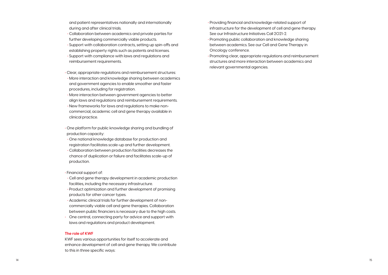- **•** Providing financial and knowledge-related support of infrastructure for the development of cell and gene therapy. See our Infrastructure Initiatives Call 2021-2.
- **•** Promoting public collaboration and knowledge sharing between academics. See our Cell and Gene Therapy in Oncology conference.
- **•** Promoting clear, appropriate regulations and reimbursement structures and more interaction between academics and relevant governmental agencies.

and patient representatives nationally and internationally during and after clinical trials.

 **•** Collaboration between academics and private parties for further developing commercially viable products.  **•** Support with collaboration contracts, setting up spin-offs and establishing property rights such as patents and licenses.  **•** Support with compliance with laws and regulations and reimbursement requirements.

**•** Clear, appropriate regulations and reimbursement structures:  **•** More interaction and knowledge sharing between academics and government agencies to enable smoother and faster procedures, including for registration.

 **•** More interaction between government agencies to better align laws and regulations and reimbursement requirements.  **•** New frameworks for laws and regulations to make noncommercial, academic cell and gene therapy available in clinical practice.

- **•** One platform for public knowledge sharing and bundling of production capacity:
- **•** One national knowledge database for production and registration facilitates scale-up and further development.  **•** Collaboration between production facilities decreases the chance of duplication or failure and facilitates scale-up of production.
- **•** Financial support of:
- **•** Cell and gene therapy development in academic production facilities, including the necessary infrastructure.
- **•** Product optimization and further development of promising products for other cancer types.
- **•** Academic clinical trials for further development of noncommercially viable cell and gene therapies. Collaboration between public financiers is necessary due to the high costs.
- One central, connecting party for advice and support with laws and regulations and product development.

#### **The role of KWF**

KWF sees various opportunities for itself to accelerate and enhance development of cell and gene therapy. We contribute to this in three specific ways: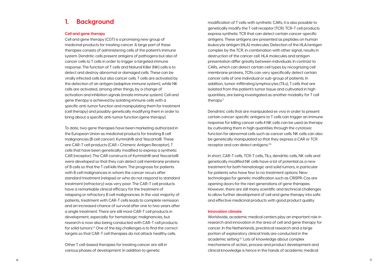modification of T cells with synthetic CARs, it is also possible to genetically modify the T cell receptor (TCR). TCR-T cell products express synthetic TCR that can detect certain cancer-specific antigens. These antigens are presented as peptides on human leukocyte antigen (HLA) molecules. Detection of the HLA/antigen complex by the TCR, in combination with other signal, results in destruction of the cancer cell. HLA molecules and antigen presentation differ greatly between individuals. In contrast to CARs, which can detect certain cell types by recognizing cell membrane proteins, TCRs can very specifically detect certain cancer cells of one individual or sub-group of patients. In addition, tumor-infiltrating lymphocytes (TILs), T cells that are isolated from the patient's tumor tissue and cultivated in high quantities, are being investigated as another modality for T cell therapy.<sup>3</sup>

Dendritric cells that are manipulated ex vivo in order to present certain cancer-specific antigens to T cells can trigger an immune response for killing cancer cells.4 NK cells can be used as therapy by cultivating them in high quantities through the cytotoxic function for abnormal cells such as cancer cells. NK cells can also be genetically manipulated so that they express a CAR or TCR receptor and can detect antigens.4,5

In short, CAR-T cells, TCR-T cells, TILs, dendritic cells, NK cells and genetically modified NK cells have a lot of potential as a new treatment for both hematologic and solid tumors, in particular for patients who have few to no treatment options. New technologies for genetic modification such as CRISPR-Cas are opening doors for the next generations of gene therapies. However, there are still many scientific and technical challenges to allow further development of cell and gene therapy into safe and effective medicinal products with good product quality.

#### **Innovation climate**

Worldwide, academic medical centers play an important role in research and innovation in the area of cell and gene therapy for cancer. In the Netherlands, preclinical research and a large portion of exploratory clinical trials are conducted in the academic setting.6,7 Lots of knowledge about complex mechanisms of action, process and product development and clinical knowledge is hence in the hands of academic medical

## **1. Background**

#### **Cell and gene therapy**

Cell and gene therapy (CGT) is a promising new group of medicinal products for treating cancer. A large part of these therapies consists of administering cells of the patient's immune system. Dendritic cells present antigens of pathogens but also of cancer cells to T cells in order to trigger a targeted immune response. The function of T cells and Natural Killer (NK) cells is to detect and destroy abnormal or damaged cells. These can be virally infected cells but also cancer cells. T cells are activated by the detection of an antigen (adaptive immune system), while NK cells are activated, among other things, by a change of activation and inhibition signals (innate immune system). Cell and gene therapy is achieved by isolating immune cells with a specific anti-tumor function and manipulating them for treatment (cell therapy) and possibly genetically modifying them in order to bring about a specific anti-tumor function (gene therapy).

To date, two gene therapies have been marketing authorized in the European Union as medicinal products for treating B cell malignancies (B cell cancer): Kymriah® and Yescarta®. These are CAR-T cell products (CAR = Chimeric Antigen Receptor), T cells that have been genetically modified to express a synthetic CAR (receptor). The CAR constructs of Kymriah® and Yescarta® were developed so that they can detect cell membrane proteins of B cells so that the T cell kills them. The prognosis for patients with B cell malignancies in whom the cancer recurs after standard treatment (relapse) or who do not respond to standard treatment (refractory) was very poor. The CAR-T cell products have a remarkable clinical efficacy for the treatment of relapsing or refractory B cell malignancies. In the vast majority of patients, treatment with CAR-T cells leads to complete remission and an increased chance of survival after one to two years after a single treatment. There are still more CAR-T cell products in development, especially for hematologic malignancies, but research is now also being conducted with CAR-T cell products for solid tumors.<sup>1,2</sup> One of the big challenges is to find the correct targets so that CAR-T cell therapies do not attack healthy cells.

Other T cell-based therapies for treating cancer are still in various phases of development. In addition to genetic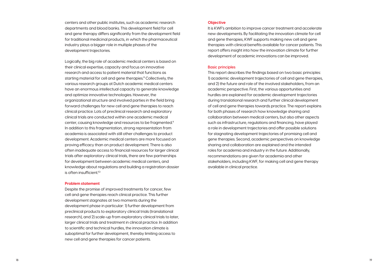#### **Objective**

It is KWF's ambition to improve cancer treatment and accelerate new developments. By facilitating the innovation climate for cell and gene therapies, KWF supports making new cell and gene therapies with clinical benefits available for cancer patients. This report offers insight into how the innovation climate for further development of academic innovations can be improved.

#### **Basic principles**

Logically, the big role of academic medical centers is based on their clinical expertise, capacity and focus on innovative research and access to patient material that functions as starting material for cell and gene therapies.<sup>8</sup> Collectively, the various research groups at Dutch academic medical centers have an enormous intellectual capacity to generate knowledge and optimize innovative technologies. However, the organizational structure and involved parties in the field bring forward challenges for new cell and gene therapies to reach clinical practice. Lots of preclinical research and exploratory clinical trials are conducted within one academic medical center, causing knowledge and resources to be fragmented.9 In addition to this fragmentation, strong representation from academia is associated with still other challenges to product development. Academic medical centers are more focused on proving efficacy than on product development. There is also often inadequate access to financial resources for larger clinical trials after exploratory clinical trials, there are few partnerships for development between academic medical centers, and knowledge about regulations and building a registration dossier is often insufficient.<sup>10</sup>

This report describes the findings based on two basic principles: 1) academic development trajectories of cell and gene therapies, and 2) the future and role of the involved stakeholders, from an academic perspective. First, the various opportunities and hurdles are explained for academic development trajectories during translational research and further clinical development of cell and gene therapies towards practice. The report explains for both phases of research how knowledge sharing and collaboration between medical centers, but also other aspects such as infrastructure, regulations and financing, have played a role in development trajectories and offer possible solutions for stagnating development trajectories of promising cell and gene therapies. Second, academic perspectives on knowledge sharing and collaboration are explained and the intended roles for academia and industry in the future. Additionally, recommendations are given for academia and other stakeholders, including KWF, for making cell and gene therapy available in clinical practice.

centers and other public institutes, such as academic research departments and blood banks. This development field for cell and gene therapy differs significantly from the development field for traditional medicinal products, in which the pharmaceutical industry plays a bigger role in multiple phases of the development trajectories.

#### **Problem statement**

Despite the promise of improved treatments for cancer, few cell and gene therapies reach clinical practice. This further development stagnates at two moments during the development phase in particular: 1) further development from preclinical products to exploratory clinical trials (translational research), and 2) scale-up from exploratory clinical trials to later, larger clinical trials and treatment in clinical practice. In addition to scientific and technical hurdles, the innovation climate is suboptimal for further development, thereby limiting access to new cell and gene therapies for cancer patients.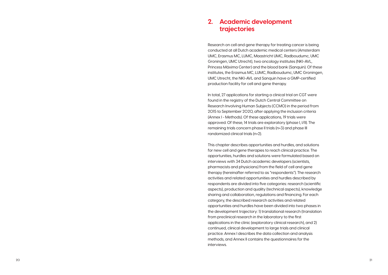### **2. Academic development trajectories**

Research on cell and gene therapy for treating cancer is being conducted at all Dutch academic medical centers (Amsterdam UMC, Erasmus MC, LUMC, Maastricht UMC, Radboudumc, UMC Groningen, UMC Utrecht), two oncology institutes (NKI-AVL, Princess Máxima Center) and the blood bank (Sanquin). Of these institutes, the Erasmus MC, LUMC, Radboudumc, UMC Groningen, UMC Utrecht, the NKI-AVL and Sanquin have a GMP-certified production facility for cell and gene therapy.

In total, 27 applications for starting a clinical trial on CGT were found in the registry of the Dutch Central Committee on Research Involving Human Subjects (CCMO) in the period from 2015 to September 2020, after applying the inclusion criteria (Annex I - Methods). Of these applications, 19 trials were approved. Of these, 14 trials are exploratory (phase I, I/II). The remaining trials concern phase II trials (n=3) and phase III randomized clinical trials (n=2).

This chapter describes opportunities and hurdles, and solutions for new cell and gene therapies to reach clinical practice. The opportunities, hurdles and solutions were formulated based on interviews with 34 Dutch academic developers (scientists, pharmacists and physicians) from the field of cell and gene therapy (hereinafter referred to as "respondents"). The research activities and related opportunities and hurdles described by respondents are divided into five categories: research (scientific aspects), production and quality (technical aspects), knowledge sharing and collaboration, regulations and financing. For each category, the described research activities and related opportunities and hurdles have been divided into two phases in the development trajectory: 1) translational research (translation from preclinical research in the laboratory to the first applications in the clinic (exploratory clinical research), and 2) continued, clinical development to large trials and clinical practice. Annex I describes the data collection and analysis methods, and Annex II contains the questionnaires for the interviews.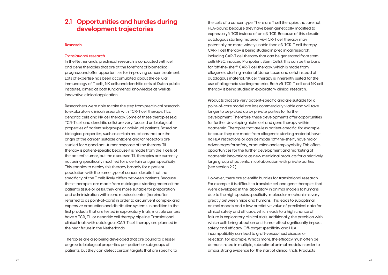the cells of a cancer type. There are T cell therapies that are not HLA-bound because they have been genetically modified to express a γδ-TCR instead of an αβ-TCR. Because of this, despite autologous starting material, γδ-TCR-T cell therapy may potentially be more widely usable than αβ-TCR-T cell therapy. CAR-T cell therapy is being studied in preclinical research, including CAR-T cell therapy that can be generated from stem cells (iPSC: induced Pluripotent Stem Cells). This can be the basis for "off-the-shelf" CAR-T cell therapy, which is made from allogeneic starting material (donor tissue and cells) instead of autologous material. NK cell therapy is inherently suited for the use of allogeneic starting material. Both γδ-TCR-T cell and NK cell therapy is being studied in exploratory clinical research.

Products that are very patient-specific and are suitable for a point-of-care model are less commercially viable and will take longer to be picked up by private parties for further development. Therefore, these developments offer opportunities for further developing niche cell and gene therapy within academia. Therapies that are less patient-specific, for example because they are made from allogeneic starting material, have no HLA restrictions or can be made "off-the-shelf", have major advantages for safety, production and employability. This offers opportunities for the further development and marketing of academic innovations as new medicinal products for a relatively large group of patients, in collaboration with private parties (see section 2.2.).

However, there are scientific hurdles for translational research. For example, it is difficult to translate cell and gene therapies that were developed in the laboratory in animal models to humans due to the high species specificity: molecular mechanisms vary greatly between mice and humans. This leads to suboptimal animal models and a low predictive value of preclinical data for clinical safety and efficacy, which leads to a high chance of failure in exploratory clinical trials. Additionally, the precision with which cells bring about an anti-tumor effect significantly impact safety and efficacy. Off-target specificity and HLA incompatibility can lead to graft-versus-host disease or rejection, for example. What's more, the efficacy must often be demonstrated in multiple, suboptimal animal models in order to amass strong evidence for the start of clinical trials. Products

### **2.1 Opportunities and hurdles during development trajectories**

#### **Research**

#### *Translational research*

In the Netherlands, preclinical research is conducted with cell and gene therapies that are at the forefront of biomedical progress and offer opportunities for improving cancer treatment. Lots of expertise has been accumulated about the cellular immunology of T cells, NK cells and dendritic cells at Dutch public institutes, aimed at both fundamental knowledge as well as innovative clinical application.

Researchers were able to take the step from preclinical research to exploratory clinical research with TCR-T cell therapy, TILs, dendritic cells and NK cell therapy. Some of these therapies (e.g. TCR-T cell and dendritic cells) are very focused on biological properties of patient subgroups or individual patients. Based on biological properties, such as certain mutations that are the origin of the cancer, suitable antigens and/or receptors are studied for a good anti-tumor response of the therapy. TIL therapy is patient-specific because it is made from the T cells of the patient's tumor, but the discussed TIL therapies are currently not being specifically modified for a certain antigen specificity. This enables to deploy this therapy broadly for a patient population with the same type of cancer, despite that the specificity of the T cells likely differs between patients. Because these therapies are made from autologous starting material (the patient's tissue or cells), they are more suitable for preparation and administration within one medical center (hereinafter referred to as point-of-care) in order to circumvent complex and expensive production and distribution systems. In addition to the first products that are tested in exploratory trials, multiple centers have a TCR, TIL or dendritic cell therapy pipeline. Translational clinical trials with autologous CAR-T cell therapy are planned in the near future in the Netherlands.

Therapies are also being developed that are bound to a lesser degree to biological properties per patient or subgroups of patients, but they can detect certain targets that are specific to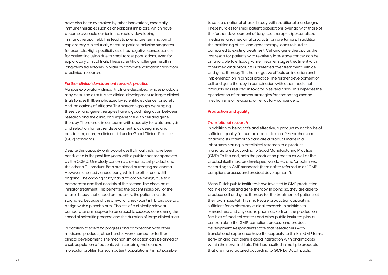to set up a national phase III study with traditional trial designs. These hurdles for small patient populations overlap with those of the further development of targeted therapies (personalized medicine) and medicinal products for rare tumors. In addition, the positioning of cell and gene therapy leads to hurdles compared to existing treatment. Cell and gene therapy as the last resort for patients with relatively late-stage cancer can be unfavorable to efficacy, while in earlier stages treatment with other medicinal products is preferred over treatment with cell and gene therapy. This has negative effects on inclusion and implementation in clinical practice. The further development of cell and gene therapy in combination with other medicinal products has resulted in toxicity in several trials. This impedes the optimization of treatment strategies for combating escape mechanisms of relapsing or refractory cancer cells.

#### **Production and quality**

#### *Translational research*

In addition to being safe and effective, a product must also be of sufficient quality for human administration. Researchers and pharmacists attempt to translate a product made in a laboratory setting in preclinical research to a product manufactured according to Good Manufacturing Practice (GMP). To this end, both the production process as well as the product itself must be developed, validated and/or optimized according to GMP standards (hereinafter referred to as "GMPcompliant process and product development").

Many Dutch public institutes have invested in GMP production facilities for cell and gene therapy. In doing so, they are able to produce cell and gene therapy for the treatment of patients at their own hospital. This small-scale production capacity is sufficient for exploratory clinical research. In addition to researchers and physicians, pharmacists from the production facilities of medical centers and other public institutes play a central role in the GMP-compliant process and product development. Respondents state that researchers with translational experience have the capacity to think in GMP terms early on and that there is good interaction with pharmacists within their own institute. This has resulted in multiple products that are manufactured according to GMP by Dutch public

have also been overtaken by other innovations, especially immune therapies such as checkpoint inhibitors, which have become available earlier in the rapidly developing immunotherapy field. This leads to premature termination of exploratory clinical trials, because patient inclusion stagnates, for example. High specificity also has negative consequences for patient inclusion due to small target populations, even for exploratory clinical trials. These scientific challenges result in long-term trajectories in order to complete validation trials from preclinical research.

#### *Further clinical development towards practice*

Various exploratory clinical trials are described whose products may be suitable for further clinical development to larger clinical trials (phase II, III), emphasized by scientific evidence for safety and indications of efficacy. The research groups developing these cell and gene therapies have a good integration between research and the clinic, and experience with cell and gene therapy. There are clinical teams with capacity for data analysis and selection for further development, plus designing and conducting a larger clinical trial under Good Clinical Practice (GCP) standards.

Despite this capacity, only two phase II clinical trials have been conducted in the past five years with a public sponsor approved by the CCMO. One study concerns a dendritic cell product and the other a TIL product. Both are aimed at treating melanoma. However, one study ended early, while the other one is still ongoing. The ongoing study has a favorable design, due to a comparator arm that consists of the second-line checkpoint inhibitor treatment. This benefited the patient inclusion. For the phase III study that ended prematurely, the patient inclusion stagnated because of the arrival of checkpoint inhibitors due to a design with a placebo arm. Choices of a clinically relevant comparator arm appear to be crucial to success, considering the speed of scientific progress and the duration of large clinical trials.

In addition to scientific progress and competition with other medicinal products, other hurdles were named for further clinical development. The mechanism of action can be aimed at a subpopulation of patients with certain genetic and/or molecular profiles. For such patient populations it is not possible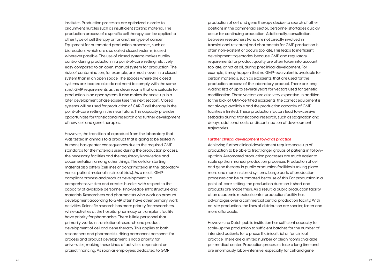production of cell and gene therapy decide to search of other positions in the commercial sector, personnel shortages quickly occur for continuing production. Additionally, consultation between researchers (who are not directly involved in translational research) and pharmacists for GMP production is often non-existent or occurs too late. This leads to inefficient development trajectories, because GMP and regulatory requirements for product quality are often taken into account too late, or not at all, during preclinical development. For example, it may happen that no GMP-equivalent is available for certain materials, such as excipients, that are used for the production process of the laboratory product. There are long waiting lists of up to several years for vectors used for genetic modification. These vectors are also very expensive. In addition to the lack of GMP-certified excipients, the correct equipment is not always available and the production capacity of GMP facilities is limited. These production factors lead to excessive setbacks during translational research, such as stagnation and delays, additional costs or discontinuation of development trajectories.

#### *Further clinical development towards practice*

Achieving further clinical development requires scale-up of production to be able to treat larger groups of patients in followup trials. Automated production processes are much easier to scale up than manual production processes. Production of cell and gene therapy in public production facilities is taking place more and more in closed systems. Large parts of production processes can be automated because of this. For production in a point-of-care setting, the production duration is short and products are made fresh. As a result, a public production facility at an academic medical center production facility has advantages over a commercial central production facility. With on-site production, the lines of distribution are shorter, faster and more affordable.

However, no Dutch public institution has sufficient capacity to scale-up the production to sufficient batches for the number of intended patients for a phase III clinical trial or for clinical practice. There are a limited number of clean rooms available per medical center. Production processes take a long time and are enormously labor-intensive, especially for cell and gene

institutes. Production processes are optimized in order to circumvent hurdles such as insufficient starting material. The production process of a specific cell therapy can be applied to other type of cell therapy or for another type of cancer. Equipment for automated production processes, such as bioreactors, which are also called closed systems, is used wherever possible. The use of closed systems makes quality control during production in a point-of-care setting relatively easy compared to an open, manual system for production. The risks of contamination, for example, are much lower in a closed system than in an open space. The spaces where the closed systems are located also do not need to comply with the same strict GMP requirements as the clean rooms that are suitable for production in an open system. It also makes the scale-up in a later development phase easier (see the next section). Closed systems will be used for production of CAR-T cell therapy in the point-of-care setting in the near future. This capacity provides opportunities for translational research and further development of new cell and gene therapies.

However, the transition of a product from the laboratory that was tested in animals to a product that is going to be tested in humans has greater consequences due to the required GMP standards for the materials used during the production process, the necessary facilities and the regulatory knowledge and documentation, among other things, The cellular starting material also differs (cell lines or donor material in the laboratory versus patient material in clinical trials). As a result, GMPcompliant process and product development is a comprehensive step and creates hurdles with respect to the capacity of available personnel, knowledge, infrastructure and materials. Researchers and pharmacists who work on product development according to GMP often have other primary work activities. Scientific research has more priority for researchers, while activities at the hospital pharmacy or transplant facility have priority for pharmacists. There is little personnel that primarily works in translational research and product development of cell and gene therapy. This applies to both researchers and pharmacists. Hiring permanent personnel for process and product development is not a priority for universities, making these kinds of activities dependent on project financing. As soon as employees dedicated to GMP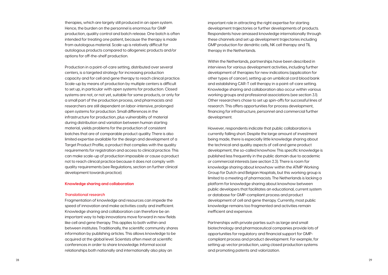therapies, which are largely still produced in an open system. Hence, the burden on the personnel is enormous for GMP production, quality control and batch release. One batch is often intended for treating one patient, because the therapy is made from autologous material. Scale-up is relatively difficult for autologous products compared to allogeneic products and/or options for off-the-shelf production.

Production in a point-of-care setting, distributed over several centers, is a targeted strategy for increasing production capacity and for cell and gene therapy to reach clinical practice. Scale-up by means of production by multiple centers is difficult to set up, in particular with open systems for production. Closed systems are not, or not yet, suitable for some products, or only for a small part of the production process, and pharmacists and researchers are still dependent on labor-intensive, prolonged open systems for production. Small differences in the infrastructure for production, plus vulnerability of material during distribution and variation between human starting material, yields problems for the production of consistent batches that are of comparable product quality. There is also limited expertise available for the design and development of a Target Product Profile, a product that complies with the quality requirements for registration and access to clinical practice. This can make scale-up of production impossible or cause a product not to reach clinical practice because it does not comply with quality requirements (see Regulations, section on further clinical development towards practice).

#### **Knowledge sharing and collaboration**

#### *Translational research*

Fragmentation of knowledge and resources can impede the speed of innovation and make activities costly and inefficient. Knowledge sharing and collaboration can therefore be an important way to help innovations move forward in new fields like cell and gene therapy. This applies to both within and between institutes. Traditionally, the scientific community shares information by publishing articles. This allows knowledge to be acquired at the global level. Scientists often meet at scientific conferences in order to share knowledge. Informal social relationships both nationally and internationally also play an

important role in attracting the right expertise for starting development trajectories or further developments of products. Respondents have amassed knowledge internationally through these channels and set up development trajectories including GMP production for dendritic cells, NK cell therapy and TIL therapy in the Netherlands.

Within the Netherlands, partnerships have been described in interviews for various development activities, including further development of therapies for new indications (application for other types of cancer), setting up an umbilical cord blood bank and establishing CAR-T cell therapy in a point-of-care setting. Knowledge sharing and collaboration also occur within various working groups and professional associations (see section 3.1). Other researchers chose to set up spin-offs for successful lines of research. This offers opportunities for process development, financing for infrastructure, personnel and commercial further development.

However, respondents indicate that public collaboration is currently falling short. Despite the large amount of investment being made, there is especially little knowledge sharing about the technical and quality aspects of cell and gene product development, the so-called knowhow. This specific knowledge is published less frequently in the public domain due to academic or commercial interests (see section 2.3). There is room for knowledge sharing about knowhow within the ATMP Working Group for Dutch and Belgian Hospitals, but this working group is limited to a meeting of pharmacists. The Netherlands is lacking a platform for knowledge sharing about knowhow between public developers that facilitates an educational, current system or database for GMP-compliant process and product development of cell and gene therapy. Currently, most public knowledge remains too fragmented and activities remain inefficient and expensive.

Partnerships with private parties such as large and small biotechnology and pharmaceutical companies provide lots of opportunities for regulatory and financial support for GMPcompliant process and product development. For example, for setting up vector production, using closed production systems and promoting patents and valorization.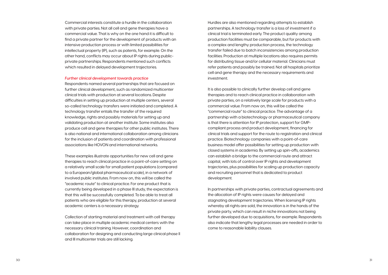Hurdles are also mentioned regarding attempts to establish partnerships. A technology transfer is a loss of investment if a clinical trial is terminated early. The product quality among production facilities must be comparable, but for products with a complex and lengthy production process, the technology transfer failed due to batch inconsistencies among production facilities. Production at multiple locations also requires permits for distributing tissue and/or cellular material. Clinicians must refer patients and possibly be trained. Not all hospitals prioritize cell and gene therapy and the necessary requirements and investment.

It is also possible to clinically further develop cell and gene therapies and to reach clinical practice in collaboration with private parties, on a relatively large scale for products with a commercial value. From now on, this will be called the "commercial route" to clinical practice. The advantage of a partnership with a biotechnology or pharmaceutical company is that there is attention for IP protection, support for GMPcompliant process and product development, financing for clinical trials and support for the route to registration and clinical practice. Biotechnology companies with a point-of-care business model offer possibilities for setting up production with closed systems in academia. By setting up spin-offs, academics can establish a bridge to the commercial route and attract capital, with lots of control over IP rights and development trajectories, plus possibilities for scaling up production capacity and recruiting personnel that is dedicated to product development.

In partnerships with private parties, contractual agreements and the allocation of IP rights were causes for delayed and stagnating development trajectories. When licensing IP rights whereby all rights are sold, the innovation is in the hands of the private party, which can result in niche innovations not being further developed due to acquisitions, for example. Respondents also indicate that lengthy legal processes are needed in order to come to reasonable liability clauses.

Commercial interests constitute a hurdle in the collaboration with private parties. Not all cell and gene therapies have a commercial value. That is why on the one hand it is difficult to find a private partner for the development of products with an intensive production process or with limited possibilities for intellectual property (IP), such as patents, for example. On the other hand, conflicts may occur about IP rights during publicprivate partnerships. Respondents mentioned such conflicts which resulted in delayed development trajectories.

#### *Further clinical development towards practice*

Respondents named several partnerships that are focused on further clinical development, such as randomized multicenter clinical trials with production at several locations. Despite difficulties in setting up production at multiple centers, several so-called technology transfers were initiated and completed. A technology transfer entails the transfer of the required knowledge, rights and possibly materials for setting up and validating production at another institute. Some institutes also produce cell and gene therapies for other public institutes. There is also national and international collaboration among clinicians for the inclusion of patients and coordination with professional associations like HOVON and international networks.

These examples illustrate opportunities for new cell and gene therapies to reach clinical practice in a point-of-care setting on a relatively small scale for small patient populations (compared to a European/global pharmaceutical scale), in a network of involved public institutes. From now on, this will be called the "academic route" to clinical practice. For one product that is currently being developed in a phase III study, the expectation is that this will be successfully completed. To be able to treat all patients who are eligible for this therapy, production at several academic centers is a necessary strategy.

Collection of starting material and treatment with cell therapy can take place in multiple academic medical centers with the necessary clinical training. However, coordination and collaboration for designing and conducting large clinical phase II and III multicenter trials are still lacking.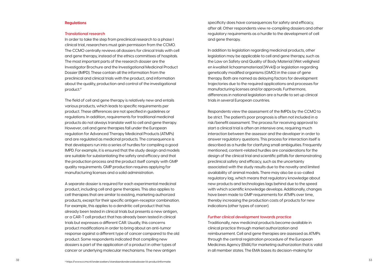specificity does have consequences for safety and efficacy, after all. Other respondents view re-compiling dossiers and other regulatory requirements as a hurdle to the development of cell and gene therapy.

In addition to legislation regarding medicinal products, other legislation may be applicable to cell and gene therapy, such as the Law on Safety and Quality of Body Material (Wet veiligheid en kwaliteit lichaamsmateriaal [Wvkl]) or legislation regarding genetically modified organisms (GMO) in the case of gene therapy. Both are named as delaying factors for development trajectories due to the required applications and processes for manufacturing licenses and/or approvals. Furthermore, differences in national legislation are a hurdle to set up clinical trials in several European countries.

In order to take the step from preclinical research to a phase I clinical trial, researchers must gain permission from the CCMO. The CCMO centrally reviews all dossiers for clinical trials with cell and gene therapy, instead of the ethics committees of hospitals. The most important parts of the research dossier are the Investigator Brochure and the Investigational Medicinal Product Dossier (IMPD). These contain all the information from the preclinical and clinical trials with the product, and information about the quality, production and control of the investigational product.<sup>a</sup>

> Respondents view the assessment of the IMPDs by the CCMO to be strict. The patient's poor prognosis is often not included in a risk/benefit assessment. The process for receiving approval to start a clinical trial is often an intensive one, requiring much interaction between the assessor and the developer in order to answer regulatory questions. This process for interaction itself is described as a hurdle for clarifying small ambiguities. Frequently mentioned, content-related hurdles are considerations for the design of the clinical trial and scientific pitfalls for demonstrating preclinical safety and efficacy, such as the uncertainty associated with the study results due to the novelty and limited availability of animal models. There may also be a so-called regulatory lag, which means that regulatory knowledge about new products and technologies lags behind due to the speed with which scientific knowledge develops. Additionally, changes have been made to GMP requirements for ATMPs over time. thereby increasing the production costs of products for new indications (other types of cancer).

#### *Further clinical development towards practice*

Traditionally, new medicinal products become available in clinical practice through market authorization and reimbursement. Cell and gene therapies are assessed as ATMPs through the central registration procedure of the European Medicines Agency (EMA) for marketing authorization that is valid in all member states. The EMA bases its decision-making for

#### **Regulations**

#### *Translational research*

The field of cell and gene therapy is relatively new and entails various products, which leads to specific requirements per product. These differences are not specified in guidelines or regulations. In addition, requirements for traditional medicinal products do not always translate well to cell and gene therapy. However, cell and gene therapies fall under the European regulation for Advanced Therapy Medicinal Products (ATMPs) and are regulated as medicinal products. The consequence is that developers run into a series of hurdles for compiling a good IMPD. For example, it is ensured that the study design and models are suitable for substantiating the safety and efficacy and that the production process and the product itself comply with GMP quality requirements. GMP production requires applying for manufacturing licenses and a solid administration.

A separate dossier is required for each experimental medicinal product, including cell and gene therapies. This also applies to cell therapies that are similar to existing, marketing authorized products, except for their specific antigen-receptor combination. For example, this applies to a dendritic cell product that has already been tested in clinical trials but presents a new antigen, or a CAR-T cell product that has already been tested in clinical trials but expresses a different CAR. Usually, this concerns product modifications in order to bring about an anti-tumor response against a different type of cancer compared to the old product. Some respondents indicated that compiling new dossiers is part of the application of a product in other types of cancer or underlying molecular mechanisms. The new antigen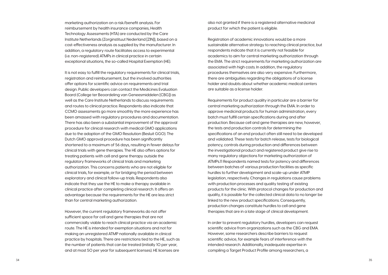also not granted if there is a registered alternative medicinal product for which the patient is eligible.

Registration of academic innovations would be a more sustainable alternative strategy to reaching clinical practice, but respondents indicate that it is currently not feasible for academics to aim for central marketing authorization through the EMA. The strict requirements for marketing authorization are associated with high costs. In addition, the regulatory procedures themselves are also very expensive. Furthermore, there are ambiguities regarding the obligations of a license holder and doubts about whether academic medical centers are suitable as a license holder.

Requirements for product quality in particular are a barrier for central marketing authorization through the EMA. In order to approve medicinal products for human administration, every batch must fulfill certain specifications during and after production. Because cell and gene therapies are new, however, the tests and production controls for determining the specifications of an end product often still need to be developed and validated. These tests for batch release, tests for biological potency, controls during production and differences between the investigational product and registered product give rise to many regulatory objections for marketing authorization of ATMPs.11 Respondents named tests for potency and differences between batches of various production facilities as specific hurdles to further development and scale-up under ATMP legislation, respectively. Changes in regulations cause problems with production processes and quality testing of existing products for the clinic. With protocol changes for production and quality, it is possible for the collected clinical data to no longer be linked to the new product specifications. Consequently, production changes constitute hurdles to cell and gene therapies that are in a late stage of clinical development.

In order to prevent regulatory hurdles, developers can request scientific advice from organizations such as the CBG and EMA. However, some researchers describe barriers to request scientific advice, for example fears of interference with the intended research. Additionally, inadequate expertise in compiling a Target Product Profile among researchers, a

- 
- 
- 
- 
- 
- 
- 
- 

marketing authorization on a risk/benefit analysis. For reimbursement by health insurance companies, Health Technology Assessments (HTA) are conducted by the Care Institute Netherlands (Zorginstituut Nederland [ZIN]), based on a cost-effectiveness analysis as supplied by the manufacturer. In addition, a regulatory route facilitates access to experimental (i.e. non-registered) ATMPs in clinical practice in certain exceptional situations, the so-called Hospital Exemption (HE).

It is not easy to fulfill the regulatory requirements for clinical trials, registration and reimbursement, but the involved authorities offer options for scientific advice on requirements and trial design. Public developers can contact the Medicines Evaluation Board (College ter Beoordeling van Geneesmiddelen [CBG]) as well as the Care Institute Netherlands to discuss requirements and routes to clinical practice. Respondents also indicate that CCMO assessments go more smoothly the more experience has been amassed with regulatory procedures and documentation. There has also been a substantial improvement of the approval procedure for clinical research with medical GMO applications due to the adoption of the GMO Resolution (Besluit GGO). The Dutch GMO approval procedure has been significantly shortened to a maximum of 56 days, resulting in fewer delays for clinical trials with gene therapies. The HE also offers options for treating patients with cell and gene therapy outside the regulatory frameworks of clinical trials and marketing authorization. This concerns patients who are not eligible for clinical trials, for example, or for bridging the period between exploratory and clinical follow-up trials. Respondents also indicate that they use the HE to make a therapy available in clinical practice after completing clinical research. It offers an advantage because the requirements for the HE are less strict than for central marketing authorization.

However, the current regulatory frameworks do not offer sufficient space for cell and gene therapies that are not commercially viable to reach clinical practice via an academic route. The HE is intended for exemption situations and not for making an unregistered ATMP nationally available in clinical practice by hospitals. There are restrictions tied to the HE, such as the number of patients that can be treated (initially 10 per year, and at most 50 per year for subsequent licenses). HE licenses are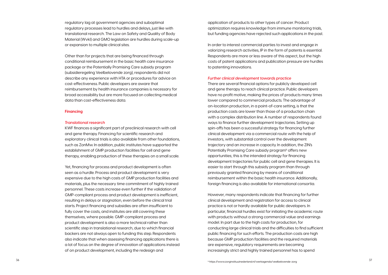application of products to other types of cancer. Product optimization requires knowledge from immune monitoring trials, but funding agencies have rejected such applications in the past.

In order to interest commercial parties to invest and engage in valorizing research activities, IP in the form of patents is essential. Respondents are more or less aware of this aspect, but the high costs of patent applications and publication pressure are hurdles to patenting innovations.

#### *Further clinical development towards practice*

There are several financial options for publicly developed cell and gene therapy to reach clinical practice. Public developers have no profit motive, making the prices of products many times lower compared to commercial products. The advantage of on-location production, in a point-of-care setting, is that the production costs are lower than those of a production chain with a complex distribution line. A number of respondents found ways to finance further development trajectories. Setting up spin-offs has been a successful strategy for financing further clinical development via a commercial route with the help of investors, with substantial control over the development trajectory and an increase in capacity. In addition, the ZIN's Potentially Promising Care subsidy program<sup>b</sup> offers new opportunities; this is the intended strategy for financing development trajectories for public cell and gene therapies. It is easier to start through this subsidy program than through previously granted financing by means of conditional reimbursement within the basic health insurance. Additionally, foreign financing is also available for international consortia.

However, many respondents indicate that financing for further clinical development and registration for access to clinical practice is not or hardly available for public developers. In particular, financial hurdles exist for initiating the academic route with products without a strong commercial value and earnings model. In part due to the high costs for production, for conducting large clinical trials and the difficulties to find sufficient public financing for such efforts. The production costs are high because GMP production facilities and the required materials are expensive, regulatory requirements are becoming increasingly strict and highly trained personnel has to spend

regulatory lag at government agencies and suboptimal regulatory processes lead to hurdles and delays, just like with translational research. The Law on Safety and Quality of Body Material (Wvkl) and GMO legislation are hurdles during scale-up or expansion to multiple clinical sites.

Other than for projects that are being financed through conditional reimbursement in the basic health care insurance package or the Potentially Promising Care subsidy program (subsidieregeling Veelbelovende zorg), respondents did not describe any experience with HTA or procedures for advice on cost-effectiveness. Public developers are aware that reimbursement by health insurance companies is necessary for broad accessibility but are more focused on collecting medical data than cost-effectiveness data.

#### **Financing**

#### *Translational research*

KWF finances a significant part of preclinical research with cell and gene therapy. Financing for scientific research and exploratory clinical trials is also available from other foundations, such as ZonMw. In addition, public institutes have supported the establishment of GMP production facilities for cell and gene therapy, enabling production of these therapies on a small scale.

Yet, financing for process and product development is often seen as a hurdle. Process and product development is very expensive due to the high costs of GMP production facilities and materials, plus the necessary time commitment of highly trained personnel. These costs increase even further if the validation of GMP-compliant process and product development is inefficient, resulting in delays or stagnation, even before the clinical trial starts. Project financing and subsidies are often insufficient to fully cover the costs, and institutes are still covering these themselves, where possible. GMP-compliant process and product development is also a more technical rather than scientific step in translational research, due to which financial backers are not always open to funding this step. Respondents also indicate that when assessing financing applications there is a lot of focus on the degree of innovation of applications instead of on product development, including the redesign and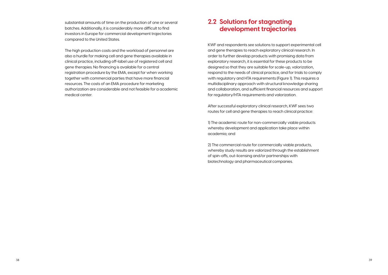### **2.2 Solutions for stagnating development trajectories**

KWF and respondents see solutions to support experimental cell and gene therapies to reach exploratory clinical research. In order to further develop products with promising data from exploratory research, it is essential for these products to be designed so that they are suitable for scale-up, valorization, respond to the needs of clinical practice, and for trials to comply with regulatory and HTA requirements (Figure 1). This requires a multidisciplinary approach with structural knowledge sharing and collaboration, and sufficient financial resources and support for regulatory/HTA requirements and valorization.

After successful exploratory clinical research, KWF sees two routes for cell and gene therapies to reach clinical practice:

1) The academic route for non-commercially viable products whereby development and application take place within academia; and

2) The commercial route for commercially viable products, whereby study results are valorized through the establishment of spin-offs, out-licensing and/or partnerships with biotechnology and pharmaceutical companies.

substantial amounts of time on the production of one or several batches. Additionally, it is considerably more difficult to find investors in Europe for commercial development trajectories compared to the United States.

The high production costs and the workload of personnel are also a hurdle for making cell and gene therapies available in clinical practice, including off-label use of registered cell and gene therapies. No financing is available for a central registration procedure by the EMA, except for when working together with commercial parties that have more financial resources. The costs of an EMA procedure for marketing authorization are considerable and not feasible for a academic medical center.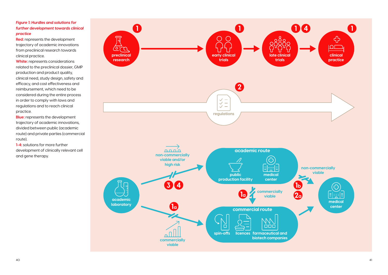**VI**<br>el<br>tri related to the preclinical dossier, GMP<br>production and product quality. **White:** represents considerations production and product quality, clinical need, study design, safety and efficacy, and cost effectiveness and reimbursement, which need to be considered during the entire process in order to comply with laws and regulations and to reach clinical practice.

**llu**<br>raj<br>ou trajectory of academic innovations,<br>divided between public (academic **ns,<br>C<br>erc Blue:** represents the development trajectory of academic innovations, route) and private parties (commercial route).

### *Figure 1: Hurdles and solutions for further development towards clinical practice*

**Red:** represents the development trajectory of academic innovations from preclinical research towards clinical practice.



**1-4:** solutions for more further development of clinically relevant cell and gene therapy.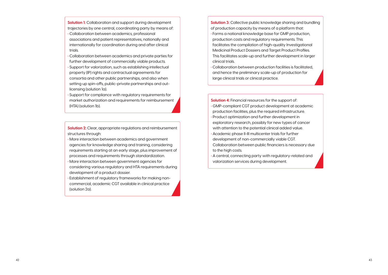**Solution 4:** Financial resources for the support of: **•** GMP-compliant CGT product development at academic production facilities, plus the required infrastructure.

- **•** Product optimization and further development in exploratory research, possibly for new types of cancer with attention to the potential clinical added value.
- **•** Academic phase II-III multicenter trials for further development of non-commercially viable CGT. Collaboration between public financiers is necessary due to the high costs.
- **•** A central, connecting party with regulatory-related and valorization services during development.

**Solution 2:** Clear, appropriate regulations and reimbursement structures through:

- **•** More interaction between academics and government agencies for knowledge sharing and training, considering requirements starting at an early stage, plus improvement of processes and requirements through standardization.
- **•** More interaction between government agencies for considering various regulatory and HTA requirements during development of a product dossier.
- **•** Establishment of regulatory frameworks for making noncommercial, academic CGT available in clinical practice (solution 2a).

**Solution 3:** Collective public knowledge sharing and bundling

**Solution 1:** Collaboration and support during development trajectories by one central, coordinating party by means of: of production capacity by means of a platform that:

- **•** Forms a national knowledge base for GMP production, production costs and regulatory requirements. This facilitates the compilation of high-quality Investigational Medicinal Product Dossiers and Target Product Profiles. This facilitates scale-up and further development in larger clinical trials.
- **•** Collaboration between production facilities is facilitated, and hence the preliminary scale-up of production for large clinical trials or clinical practice.
- **•** Collaboration between academics, professional associations and patient representatives, nationally and internationally for coordination during and after clinical trials.
- **•** Collaboration between academics and private parties for further development of commercially viable products.
- **•** Support for valorization, such as establishing intellectual property (IP) rights and contractual agreements for consortia and other public partnerships, and also when setting up spin-offs, public-private partnerships and outlicensing (solution 1a).
- **•** Support for compliance with regulatory requirements for market authorization and requirements for reimbursement (HTA) (solution 1b).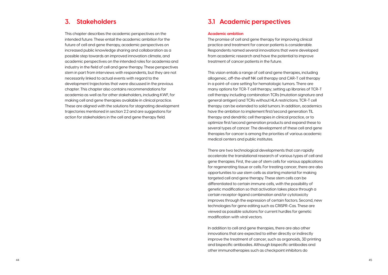### **3.1 Academic perspectives**

#### **Academic ambition**

The promise of cell and gene therapy for improving clinical practice and treatment for cancer patients is considerable. Respondents named several innovations that were developed from academic research and have the potential to improve treatment of cancer patients in the future.

This vision entails a range of cell and gene therapies, including allogeneic, off-the-shelf NK cell therapy and CAR-T cell therapy in a point-of-care setting for hematologic tumors. There are many options for TCR-T cell therapy; setting up libraries of TCR-T cell therapy including combination TCRs (mutation signature and general antigen) and TCRs without HLA restrictions. TCR-T cell therapy can be extended to solid tumors. In addition, academics have the ambition to implement first/second generation TIL therapy and dendritic cell therapies in clinical practice, or to optimize first/second generation products and expand these to several types of cancer. The development of these cell and gene therapies for cancer is among the priorities of various academic medical centers and public institutes.

There are two technological developments that can rapidly accelerate the translational research of various types of cell and gene therapies. First, the use of stem cells for various applications for regenerating tissue or cells. For treating cancer, there are also opportunities to use stem cells as starting material for making targeted cell and gene therapy. These stem cells can be differentiated to certain immune cells, with the possibility of genetic modification so that activation takes place through a certain receptor-ligand combination and/or cytotoxicity improves through the expression of certain factors. Second, new technologies for gene editing such as CRISPR-Cas. These are viewed as possible solutions for current hurdles for genetic modification with viral vectors.

In addition to cell and gene therapies, there are also other innovations that are expected to either directly or indirectly improve the treatment of cancer, such as organoids, 3D printing and bispecific antibodies. Although bispecific antibodies and other immunotherapies such as checkpoint inhibitors do

### **3. Stakeholders**

This chapter describes the academic perspectives on the intended future. These entail the academic ambition for the future of cell and gene therapy, academic perspectives on increased public knowledge sharing and collaboration as a possible step towards an improved innovation climate, and academic perspectives on the intended roles for academia and industry in the field of cell and gene therapy. These perspectives stem in part from interviews with respondents, but they are not necessarily linked to actual events with regard to the development trajectories that were discussed in the previous chapter. This chapter also contains recommendations for academia as well as for other stakeholders, including KWF, for making cell and gene therapies available in clinical practice. These are aligned with the solutions for stagnating development trajectories mentioned in section 2.2 and are suggestions for action for stakeholders in the cell and gene therapy field.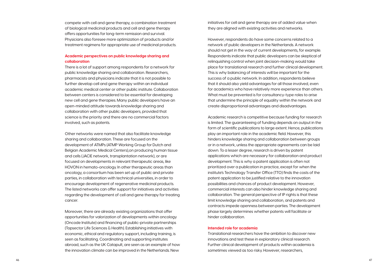initiatives for cell and gene therapy are of added value when they are aligned with existing activities and networks.

However, respondents do have some concerns related to a network of public developers in the Netherlands. A network should not get in the way of current developments, for example. Respondents indicate that public developers can be skeptical of relinquishing control when joint decision-making would take place for translational research and further clinical development. This is why balancing of interests will be important for the success of a public network. In addition, respondents believe that it should also yield advantages for all those involved, even for academics who have relatively more experience than others. What must be prevented is for consultancy-type roles to arise that undermine the principle of equality within the network and create disproportional advantages and disadvantages.

Academic research is competitive because funding for research is limited. The guaranteeing of funding depends on output in the form of scientific publications to large extent. Hence, publications play an important role in the academic field. However, this hinders knowledge sharing and collaboration between groups or in a network, unless the appropriate agreements can be laid down. To a lesser degree, research is driven by patent applications which are necessary for collaboration and product development. This is why a patent application is often not prioritized over a publication in practice, except for when the institute's Technology Transfer Office (TTO) finds the costs of the patent application to be justified relative to the innovation possibilities and chances of product development. However, commercial interests can also hinder knowledge sharing and collaboration. The general perspective of IP rights is that these limit knowledge sharing and collaboration, and patents and contracts impede openness between parties. The development phase largely determines whether patents will facilitate or hinder collaboration.

#### **Intended role for academia**

Translational researchers have the ambition to discover new innovations and test these in exploratory clinical research. Further clinical development of products within academia is sometimes viewed as too risky. However, researchers,

compete with cell and gene therapy, a combination treatment of biological medicinal products and cell and gene therapy offers opportunities for long-term remission and survival. Physicians also foresee more optimization of products and/or treatment regimens for appropriate use of medicinal products.

#### **Academic perspectives on public knowledge sharing and collaboration**

There is a lot of support among respondents for a network for public knowledge sharing and collaboration. Researchers, pharmacists and physicians indicate that it is not possible to further develop cell and gene therapy within an individual academic medical center or other public institute. Collaboration between centers is considered to be essential for developing new cell and gene therapies. Many public developers have an open-minded attitude towards knowledge sharing and collaboration with other public developers, provided that science is the priority and there are no commercial factors involved, such as patents.

Other networks were named that also facilitate knowledge sharing and collaboration. These are focused on the development of ATMPs (ATMP Working Group for Dutch and Belgian Academic Medical Centers),on producing human tissue and cells (JACIE network, transplantation network), or are focused on developments in relevant therapeutic areas, like HOVON in hemato-oncology. In other therapeutic areas than oncology, a consortium has been set up of public and private parties, in collaboration with technical universities, in order to encourage development of regenerative medicinal products. The listed networks can offer support for initiatives and activities regarding the development of cell and gene therapy for treating cancer.

Moreover, there are already existing organizations that offer opportunities for valorization of developments within oncology (Oncode Institute) and financing of public-private partnerships (Topsector Life Sciences & Health). Establishing initiatives with economic, ethical and regulatory support, including training, is seen as facilitating. Coordinating and supporting institutes abroad, such as the UK Catapult, are seen as an example of how the innovation climate can be improved in the Netherlands. New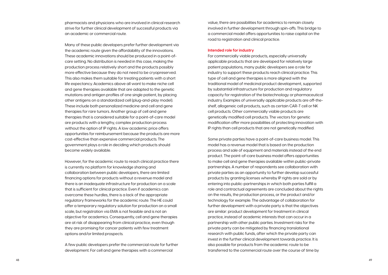value, there are possibilities for academics to remain closely involved in further development through spin-offs. This bridge to a commercial model offers opportunities to raise capital on the road to registration and clinical practice.

#### **Intended role for industry**

For commercially viable products, especially universally applicable products that are developed for relatively large patient populations, many public developers see a role for industry to support these products reach clinical practice. This type of cell and gene therapies is more aligned with the traditional model of medicinal product development, supported by substantial infrastructure for production and regulatory capacity for registration of the biotechnology or pharmaceutical industry. Examples of universally applicable products are off-theshelf, allogeneic cell products, such as certain CAR-T cell or NK cell products. Other commercially viable products are genetically modified cell products. The vectors for genetic modification offer more possibilities of protecting innovation with IP rights than cell products that are not genetically modified.

Some private parties have a point-of-care business model. This model has a revenue model that is based on the production process and sale of equipment and materials instead of the end product. The point-of-care business model offers opportunities to make cell and gene therapies available within public-private partnerships. A number of respondents see collaboration with private parties as an opportunity to further develop successful products by granting licenses whereby IP rights are sold or by entering into public-partnerships in which both parties fulfill a role and contractual agreements are concluded about the rights on the results, the production process, or the product and/or technology for example. The advantage of collaboration for further development with a private party is that the objectives are similar: product development for treatment in clinical practice, instead of academic interests that can occur in a partnership with other public parties. Investment risks for the private party can be mitigated by financing translational research with public funds, after which the private party can invest in the further clinical development towards practice. It is also possible for products from the academic route to be transferred to the commercial route over the course of time by

pharmacists and physicians who are involved in clinical research strive for further clinical development of successful products via an academic or commercial route.

Many of these public developers prefer further development via the academic route given the affordability of the innovations. These academic innovations should be produced in a point-ofcare setting. No distribution is needed in this case, making the production process relatively short and the products possibly more effective because they do not need to be cryopreserved. This also makes them suitable for treating patients with a short life expectancy. Academics above all want to make niche cell and gene therapies available that are adapted to the genetic mutations and antigen profiles of one single patient, by placing other antigens on a standardized cell (plug-and-play model). These include both personalized medicine and cell and gene therapies for rare tumors. Another group of cell and gene therapies that is considered suitable for a point-of-care model are products with a lengthy, complex production process without the option of IP rights. A low academic price offers opportunities for reimbursement because the products are more cost-effective than expensive commercial products. The government plays a role in deciding which products should become widely available.

However, for the academic route to reach clinical practice there is currently no platform for knowledge sharing and collaboration between public developers, there are limited financing options for products without a revenue model and there is an inadequate infrastructure for production on a scale that is sufficient for clinical practice. Even if academics can overcome these hurdles, there is a lack of the appropriate regulatory frameworks for the academic route. The HE could offer a temporary regulatory solution for production on a small scale, but registration via EMA is not feasible and is not an objective for academics. Consequently, cell and gene therapies are at risk of disappearing from clinical practice, even though they are promising for cancer patients with few treatment options and/or limited prospects.

A few public developers prefer the commercial route for further development. For cell and gene therapies with a commercial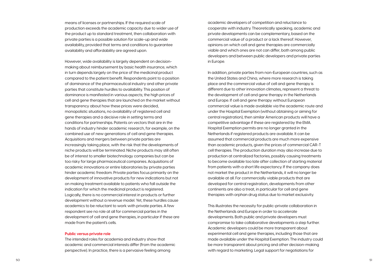academic developers of competition and reluctance to cooperate with industry. Theoretically speaking, academic and private developments can be complementary, based on the commercial value of a product or a lack thereof. However, opinions on which cell and gene therapies are commercially viable and which ones are not can differ, both among public developers and between public developers and private parties in Europe.

In addition, private parties from non-European countries, such as the United States and China, where more research is taking place and the commercial value of cell and gene therapy is different due to other innovation climates, represent a threat to the development of cell and gene therapy in the Netherlands and Europe. If cell and gene therapy without European commercial value is made available via the academic route and under the Hospital Exemption (without obtaining or aiming for central registration), then similar American products will have a competitive advantage if these are registered by the EMA. Hospital Exemption permits are no longer granted in the Netherlands if registered products are available. It can be assumed that commercial products are much more expensive than academic products, given the prices of commercial CAR-T cell therapies. The production duration may also increase due to production at centralized factories, possibly causing treatments to become available too late after collection of starting material from patients with a short life expectancy. If the company does not market the product in the Netherlands, it will no longer be available at all. For commercially viable products that are developed for central registration, developments from other continents are also a treat, in particular for cell and gene therapies with orphan drug status due to market exclusivity.

This illustrates the necessity for public-private collaboration in the Netherlands and Europe in order to accelerate developments. Both public and private developers must compromise to take collaborative developments a step further. Academic developers could be more transparent about experimental cell and gene therapies, including those that are made available under the Hospital Exemption. The industry could be more transparent about pricing and other decision-making with regard to marketing. Legal support for negotiations for

means of licenses or partnerships. If the required scale of production exceeds the academic capacity due to wider use of the product up to standard treatment, then collaboration with private parties is a possible solution for scale-up and wide availability, provided that terms and conditions to guarantee availability and affordability are agreed upon.

However, wide availability is largely dependent on decisionmaking about reimbursement by basic health insurance, which in turn depends largely on the price of the medicinal product compared to the patient benefit. Respondents point to a position of dominance of the pharmaceutical industry and other private parties that constitute hurdles to availability. This position of dominance is manifested in various aspects; the high prices of cell and gene therapies that are launched on the market without transparency about how these prices were decided, monopolistic situations, no availability of registered cell and gene therapies and a decisive role in setting terms and conditions for partnerships. Patents on vectors that are in the hands of industry hinder academic research, for example, on the combined use of new generations of cell and gene therapies. Acquisitions and mergers between private parties are increasingly taking place, with the risk that the developments of niche products will be terminated. Niche products may still often be of interest to smaller biotechnology companies but can be too risky for large pharmaceutical companies. Acquisitions of academic innovations or entire laboratories by private parties hinder academic freedom. Private parties focus primarily on the development of innovative products for new indications but not on making treatment available to patients who fall outside the indication for which the medicinal product is registered. Logically, there is no commercial interest in products or further development without a revenue model. Yet, these hurdles cause academics to be reluctant to work with private parties. A few respondent see no role at all for commercial parties in the development of cell and gene therapies, in particular if these are made from the patient's cells.

#### **Public versus private role**

The intended roles for academia and industry show that academic and commercial interests differ (from the academic perspective). In practice, there is a pervasive feeling among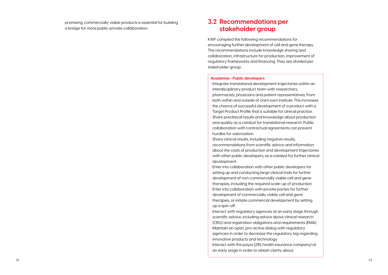promising, commercially viable products is essential for building a bridge for more public-private collaboration.

### **3.2 Recommendations per stakeholder group**

KWF compiled the following recommendations for encouraging further development of cell and gene therapy. The recommendations include knowledge sharing and collaboration, infrastructure for production, improvement of regulatory frameworks and financing. They are divided per stakeholder group:

#### **Academia - Public developers**

- **•** Integrate translational development trajectories within an interdisciplinary product team with researchers, pharmacists, physicians and patient representatives, from both within and outside of one's own institute. This increases the chance of successful development of a product with a Target Product Profile that is suitable for clinical practice. **•** Share preclinical results and knowledge about production and quality as a catalyst for translational research. Public collaboration with contractual agreements can prevent hurdles for valorization.
- **•** Share clinical results, including negative results, recommendations from scientific advice and information about the costs of production and development trajectories with other public developers, as a catalyst for further clinical development.
- **•** Enter into collaboration with other public developers for setting up and conducting large clinical trials for further development of non-commercially viable cell and gene therapies, including the required scale-up of production.
- **•** Enter into collaboration with private parties for further development of commercially viable cell and gene therapies, or initiate commercial development by setting up a spin-off.
- **•** Interact with regulatory agencies at an early stage through scientific advice, including advice about clinical research (CBG) and registration obligations and requirements (EMA).
- **•** Maintain an open, pro-active dialog with regulatory agencies in order to decrease the regulatory lag regarding innovative products and technology.
- **•** Interact with the payer (ZIN, health insurance company) at an early stage in order to obtain clarity about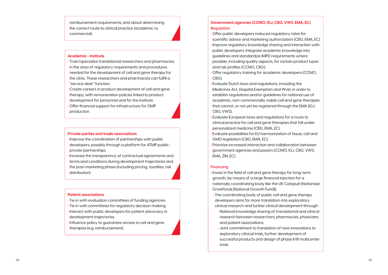#### **Academia - Institute**

- **•** Train/specialize translational researchers and pharmacists in the area of regulatory requirements and procedures needed for the development of cell and gene therapy for the clinic. These researchers and pharmacists can fulfill a "service desk" function.
- **•** Create careers in product development of cell and gene therapy, with remuneration policies linked to product development for personnel and for the institute.
- **•** Offer financial support for infrastructure for GMP production.

- **Private parties and trade associations**<br>• Improve the coordination of partnerships with public developers, possibly through a platform for ATMP publicprivate partnerships.
- **•** Increase the transparency of contractual agreements and terms and conditions during development trajectories and the post-marketing phase (including pricing, royalties, risk distribution).

#### **Patient associations**

- **•** Tie in with evaluation committees of funding agencies.
- **•** Tie in with committees for regulatory decision-making.
- **•** Interact with public developers for patient advocacy in development trajectories.
- **•** Influence policy to guarantee access to cell and gene therapies (e.g. reimbursement).

### **Government agencies (CCMO, IGJ, CBG, VWS, EMA, EC) Regulation**

- **•** Offer public developers reduced regulatory rates for scientific advice and marketing authorization (CBG, EMA, EC). **•** Improve regulatory knowledge sharing and interaction with public developers. Integrate academic knowledge into guidelines and standardize IMPD requirements where possible, including quality aspects, for certain product types and risk profiles (CCMO, CBG).
- **•** Offer regulatory training for academic developers (CCMO, CBG).
- **•** Evaluate Dutch laws and regulations, including the Medicines Act, Hospital Exemption and Wvkl, in order to establish regulations and/or guidelines for national use of academic, non-commercially viable cell and gene therapies that cannot, or not yet be registered through the EMA (IGJ, CBG, VWS).
- **•** Evaluate European laws and regulations for a route to clinical practice for cell and gene therapies that fall under personalized medicine (CBG, EMA, EC).
- **•** Evaluate possibilities for EU harmonization of tissue, cell and GMO legislation (CBG, EMA, EC).
- **•** Prioritize increased interaction and collaboration between government agencies and payers (CCMO, IGJ, CBG, VWS, EMA, ZIN, EC).

#### **Financing**

- **•** Invest in the field of cell and gene therapy for long-term growth, by means of a large financial injection for a nationally coordinating body like the UK Catapult (Nationaal Groeifonds [National Growth Fund]):
- **•** The coordinating body of public cell and gene therapy developers aims for more translation into exploratory clinical research and further clinical development through:
	- **•** National knowledge sharing of translational and clinical research between researchers, pharmacists, physicians and patient associations.
	- **•** Joint commitment to translation of new innovations to exploratory clinical trials, further development of successful products and design of phase II/III multicenter trials.

reimbursement requirements, and about determining the correct route to clinical practice (academic vs. commercial).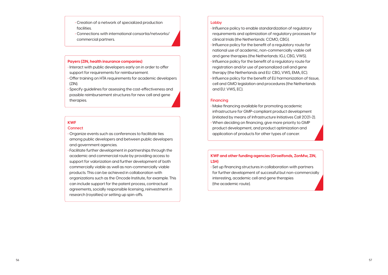#### **KWF**

#### **Connect**

- **•** Organize events such as conferences to facilitate ties among public developers and between public developers and government agencies.
- **•** Facilitate further development in partnerships through the academic and commercial route by providing access to support for valorization and further development of both commercially viable as well as non-commercially viable products. This can be achieved in collaboration with organizations such as the Oncode Institute, for example. This can include support for the patent process, contractual agreements, socially responsible licensing, reinvestment in research (royalties) or setting up spin-offs.
- **•** Creation of a network of specialized production facilities.
- **•** Connections with international consortia/networks/ commercial partners.

#### **Payers (ZIN, health insurance companies)**

- **•** Interact with public developers early on in order to offer support for requirements for reimbursement.
- **•** Offer training on HTA requirements for academic developers (ZIN).
- **•** Specify guidelines for assessing the cost-effectiveness and possible reimbursement structures for new cell and gene therapies.

### **KWF and other funding agencies (Groeifonds, ZonMw, ZIN, LSH)**

**•** Set up financing structures in collaboration with partners for further development of successful but non-commercially interesting, academic cell and gene therapies (the academic route).

#### **Lobby**

- **•** Influence policy to enable standardization of regulatory requirements and optimization of regulatory processes for clinical trials (the Netherlands: CCMO, CBG).
- **•** Influence policy for the benefit of a regulatory route for national use of academic, non-commercially viable cell and gene therapies (the Netherlands: IGJ, CBG, VWS).
- **•** Influence policy for the benefit of a regulatory route for registration and/or use of personalized cell and gene therapy (the Netherlands and EU: CBG, VWS, EMA, EC).
- **•** Influence policy for the benefit of EU harmonization of tissue, cell and GMO legislation and procedures (the Netherlands and EU: VWS, EC).

#### **Financing**

- **•** Make financing available for promoting academic infrastructure for GMP-compliant product development (initiated by means of Infrastructure Initiatives Call 2021-2).
- **•** When deciding on financing, give more priority to GMP product development, and product optimization and application of products for other types of cancer.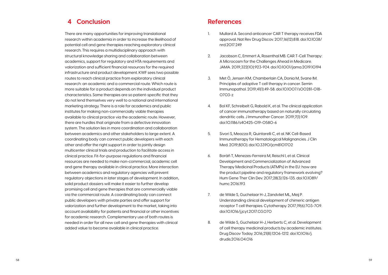### **References**

- 1. Mullard A. Second anticancer CAR T therapy receives FDA approval. Nat Rev Drug Discov. 2017;16(12):818. doi:10.1038/ nrd.2017.249
- 2. Jacobson C, Emmert A, Rosenthal MB. CAR T-Cell Therapy: A Microcosm for the Challenges Ahead in Medicare. JAMA. 2019;322(10):923-924. doi:10.1001/jama.2019.10194
- 3. Met Ö, Jensen KM, Chamberlain CA, Donia M, Svane IM. Principles of adoptive T cell therapy in cancer. Semin Immunopathol. 2019;41(1):49-58. doi:10.1007/s00281-018- 0703-z
- 4. Bol KF, Schreibelt G, Rabold K, et al. The clinical application of cancer immunotherapy based on naturally circulating dendritic cells. J Immunother Cancer. 2019;7(1):109. doi:10.1186/s40425-019-0580-6
- 5. Sivori S, Meazza R, Quintarelli C, et al. NK Cell-Based Immunotherapy for Hematological Malignancies. J Clin Med. 2019;8(10). doi:10.3390/jcm8101702
- 6. Boráň T, Menezes-Ferreira M, Reischl I, et al. Clinical Development and Commercialization of Advanced Therapy Medicinal Products (ATMPs) in the EU: how are the product pipeline and regulatory framework evolving? Hum Gene Ther Clin Dev. 2017;28(3):126-135. doi:10.1089/ humc.2016.193
- 7. de Wilde S, Guchelaar H-J, Zandvliet ML, Meij P. Understanding clinical development of chimeric antigen receptor T cell therapies. Cytotherapy. 2017;19(6):703-709. doi:10.1016/j.jcyt.2017.03.070
- 8. de Wilde S, Guchelaar H-J, Herberts C, et al. Development of cell therapy medicinal products by academic institutes. Drug Discov Today. 2016;21(8):1206-1212. doi:10.1016/j. drudis.2016.04.016

## **4 Conclusion**

There are many opportunities for improving translational research within academia in order to increase the likelihood of potential cell and gene therapies reaching exploratory clinical research. This requires a multidisciplinary approach with structural knowledge sharing and collaboration between academics, support for regulatory and HTA requirements and valorization and sufficient financial resources for the required infrastructure and product development. KWF sees two possible routes to reach clinical practice from exploratory clinical research: an academic and a commercial route. Which route is more suitable for a product depends on the individual product characteristics. Some therapies are so patient-specific that they do not lend themselves very well to a national and international marketing strategy. There is a role for academics and public institutes for making non-commercially viable therapies available to clinical practice via the academic route. However, there are hurdles that originate from a defective innovation system. The solution lies in more coordination and collaboration between academics and other stakeholders to large extent. A coordinating body can connect public developers with each other and offer the right support in order to jointly design multicenter clinical trials and production to facilitate access in clinical practice. Fit-for-purpose regulations and financial resources are needed to make non-commercial, academic cell and gene therapy available in clinical practice. More interaction between academics and regulatory agencies will prevent regulatory objections in later stages of development. In addition, solid product dossiers will make it easier to further develop promising cell and gene therapies that are commercially viable via the commercial route. A coordinating body can connect public developers with private parties and offer support for valorization and further development to the market, taking into account availability for patients and financial or other incentives for academic research. Complementary use of both routes is needed in order for all new cell and gene therapies with clinical added value to become available in clinical practice.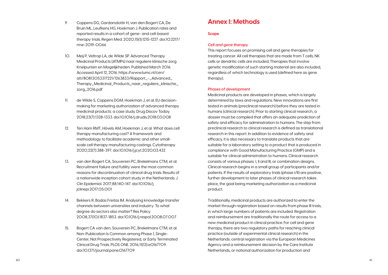## **Annex I: Methods**

#### **Scope**

#### *Cell and gene therapy*

This report focuses on promising cell and gene therapies for treating cancer. All cell therapies that are made from T cells, NK cells or dendritic cells are included. Therapies that involve genetic modification of such starting material are also included, regardless of which technology is used (defined here as gene therapy).

#### *Phases of development*

Medicinal products are developed in phases, which is largely determined by laws and regulations. New innovations are first tested in animals (preclinical research) before they are tested in humans (clinical research). Prior to starting clinical research, a dossier must be compiled that offers an adequate prediction of safety and efficacy for administration to humans. The step from preclinical research to clinical research is defined as translational research in this report. In addition to evidence of safety and efficacy, it is also necessary to translate products that are suitable for a laboratory setting to a product that is produced in compliance with Good Manufacturing Practice (GMP) and is suitable for clinical administration to humans. Clinical research consists of various phases: I, II and III, or combination designs. Clinical research begins in a small group of participants and/or patients. If the results of exploratory trials (phase I/II) are positive, further development to later phases of clinical research takes place, the goal being marketing authorization as a medicinal product.

Traditionally, medicinal products are authorized to enter the market through registration based on results from phase III trials, in which large numbers of patients are included. Registration and reimbursement are traditionally the route for access to a new medicinal product in clinical practice. For cell and gene therapy, there are two regulatory paths for reaching clinical practice (outside of experimental clinical research) in the Netherlands: central registration via the European Medicines Agency and a reimbursement decision by the Care Institute Netherlands, or national authorization for production and

- 9. Coppens DG, Gardarsdottir H, van den Bogert CA, De Bruin ML, Leufkens HG, Hoekman J. Publication rates and reported results in a cohort of gene- and cell-based therapy trials. Regen Med. 2020;15(1):1215-1227. doi:10.2217/ rme-2019-0066
- 10. Meij P, Veltrop LA, de Wilde SP. Advanced Therapy Medicinal Products (ATMPs) naar reguliere klinische zorg. Knelpunten en Mogelijkheden. Published March 2016. Accessed April 12, 2016. https://www.lumc.nl/cen/ att/80813053317221/1263833/Rapport\_-\_Advanced\_ Therapy\_Medicinal\_Products\_naar\_reguliere\_klinische\_ zorg\_2016.pdf
- 11. de Wilde S, Coppens DGM, Hoekman J, et al. EU decisionmaking for marketing authorization of advanced therapy medicinal products: a case study. Drug Discov Today. 2018;23(7):1328-1333. doi:10.1016/j.drudis.2018.03.008
- 12. Ten Ham RMT, Hövels AM, Hoekman J, et al. What does cell therapy manufacturing cost? A framework and methodology to facilitate academic and other smallscale cell therapy manufacturing costings. Cytotherapy. 2020;22(7):388-397. doi:10.1016/j.jcyt.2020.03.432
- 13. van den Bogert CA, Souverein PC, Brekelmans CTM, et al. Recruitment failure and futility were the most common reasons for discontinuation of clinical drug trials. Results of a nationwide inception cohort study in the Netherlands. J Clin Epidemiol. 2017;88:140-147. doi:10.1016/j. jclinepi.2017.05.001
- 14. Bekkers R, Bodas Freitas IM. Analysing knowledge transfer channels between universities and industry: To what degree do sectors also matter? Res Policy. 2008;37(10):1837-1853. doi:10.1016/j.respol.2008.07.007
- 15. Bogert CA van den, Souverein PC, Brekelmans CTM, et al. Non-Publication Is Common among Phase 1, Single-Center, Not Prospectively Registered, or Early Terminated Clinical Drug Trials. PLOS ONE. 2016;11(12):e0167709. doi:10.1371/journal.pone.0167709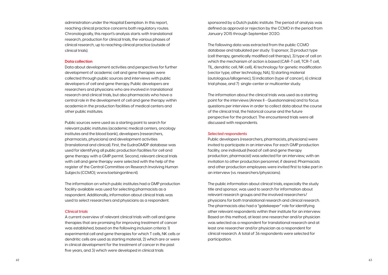sponsored by a Dutch public institute. The period of analysis was defined as approval or rejection by the CCMO in the period from January 2015 through September 2020.

The following data was extracted from the public CCMO database and tabulated per study: 1) sponsor, 2) product type (cell therapy, genetically modified cell therapy), 3) type of cell on which the mechanism of action is based (CAR-T cell, TCR-T cell, TIL, dendritic cell, NK cell), 4) technology for genetic modification (vector type, other technology, NA), 5) starting material (autologous/allogeneic), 5) indication (type of cancer), 6) clinical trial phase, and 7) single-center or multicenter study.

The information about the clinical trials was used as a starting point for the interviews (Annex II - Questionnaires) and to focus questions per interview in order to collect data about the course of the clinical trial, the historical course and the future perspective for the product. The encountered trials were all discussed with respondents.

#### *Selected respondents*

Public developers (researchers, pharmacists, physicians) were invited to participate in an interview. For each GMP production facility, one individual (head of cell and gene therapy production; pharmacist) was selected for an interview, with an invitation to other production personnel, if desired. Pharmacists and other production employees were invited first to take part in an interview (vs. researchers/physicians).

The public information about clinical trials, especially the study title and sponsor, was used to search for information about relevant research groups and the involved researchers/ physicians for both translational research and clinical research. The pharmacists also had a "gatekeeper" role for identifying other relevant respondents within their institute for an interview. Based on this method, at least one researcher and/or physician was selected as a respondent for translational research and at least one researcher and/or physician as a respondent for clinical research. A total of 36 respondents were selected for participation.

administration under the Hospital Exemption. In this report, reaching clinical practice concerns both regulatory routes. Chronologically, this report's analysis starts with translational research, production for clinical trials, the various phases of clinical research, up to reaching clinical practice (outside of clinical trials).

#### **Data collection**

Data about development activities and perspectives for further development of academic cell and gene therapies were collected through public sources and interviews with public developers of cell and gene therapy. Public developers are researchers and physicians who are involved in translational research and clinical trials, but also pharmacists who have a central role in the development of cell and gene therapy within academia in the production facilities of medical centers and other public institutes.

Public sources were used as a starting point to search for relevant public institutes (academic medical centers, oncology institutes and the blood bank), developers (researchers, pharmacists, physicians) and development activities (translational and clinical). First, the EudraGMDP database was used for identifying all public production facilities for cell and gene therapy with a GMP permit. Second, relevant clinical trials with cell and gene therapy were selected with the help of the register of the Central Committee on Research Involving Human Subjects (CCMO); www.toetsingonline.nl).

The information on which public institutes had a GMP production facility available was used for selecting pharmacists as a respondent. Additionally, information about clinical trials was used to select researchers and physicians as a respondent.

#### *Clinical trials*

A current overview of relevant clinical trials with cell and gene therapies that are promising for improving treatment of cancer was established, based on the following inclusion criteria: 1) experimental cell and gene therapies for which T cells, NK cells or dendritic cells are used as starting material, 2) which are or were in clinical development for the treatment of cancer in the past five years, and 3) which were developed in clinical trials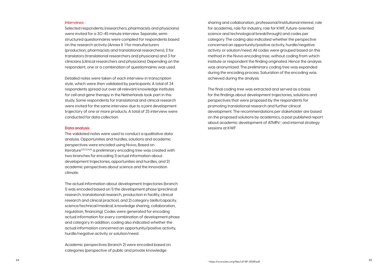sharing and collaboration, professional/institutional interest, role for academia, role for industry, role for KWF, future-oriented science and technological breakthrough) and codes per category. The coding also indicated whether the perspective concerned an opportunity/positive activity, hurdle/negative activity or solution/need. All codes were grouped based on this method in the Nvivo encoding tree, without coding from which institute or respondent the finding originated. Hence the analysis was anonymized. The preliminary coding tree was expanded during the encoding process. Saturation of the encoding was achieved during the analysis.

The final coding tree was extracted and served as a basis for the findings about development trajectories, solutions and perspectives that were proposed by the respondents for promoting translational research and further clinical development. The recommendations per stakeholder are based on the proposed solutions by academics, a past published report about academic development of ATMPs<sup>c</sup>, and internal strategy sessions at KWF.

#### *Interviews*

Selected respondents (researchers, pharmacists and physicians) were invited for a 30-45 minute interview. Separate, semistructured questionnaires were compiled for respondents based on the research activity (Annex II: 1 for manufacturers (production; pharmacists and translational researchers); 2 for translators (translational researchers and physicians) and 3 for clinicians (clinical researchers and physicians). Depending on the respondent, one or a combination of questionnaires was used.

Detailed notes were taken of each interview in transcription style, which were then validated by participants. A total of 34 respondents spread out over all relevant knowledge institutes for cell and gene therapy in the Netherlands took part in this study. Some respondents for translational and clinical research were invited for the same interview due to a joint development trajectory of one or more products. A total of 25 interview were conducted for data collection.

#### **Data analysis**

The validated notes were used to conduct a qualitative data analysis. Opportunities and hurdles, solutions and academic perspectives were encoded using Nvivo, Based on literature<sup>11,12,13,14,15</sup> a preliminary encoding tree was created with two branches for encoding 1) actual information about development trajectories, opportunities and hurdles, and 2) academic perspectives about science and the innovation climate.

The actual information about development trajectories (branch 1) was encoded based on 1) the development phase (preclinical research, translational research, production in facility, clinical research and clinical practice), and 2) category (skills/capacity, science/technical/medical, knowledge sharing, collaboration, regulation, financing). Codes were generated for encoding actual information for every combination of development phase and category. In addition, coding also indicated whether the actual information concerned an opportunity/positive activity, hurdle/negative activity or solution/need.

Academic perspectives (branch 2) were encoded based on categories (perspective of public and private knowledge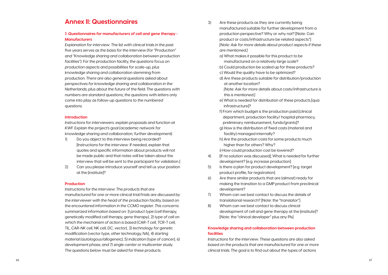- 3) Are these products as they are currently being manufactured suitable for further development from a production perspective? Why or why not? [Note: Can product or costs/infrastructure be related aspects"] *[Note: Ask for more details about product aspects if these are mentioned.]*
	- a) What makes it possible for this product to be manufactured on a relatively large scale?
	- b) Could production be scaled up for these products?
	- c) Would the quality have to be optimized?
	- d) Are these products suitable for distribution/production at another location? *[Note: Ask for more details about costs/infrastructure is* 
		- *this is mentioned.]*
	- e) What is needed for distribution of these products [qua infrastructure]?
	- f) From which budget is the production paid [clinical department, production facility/ hospital pharmacy, preliminary reimbursement, funds/grants]?
	- g) How is the distribution of fixed costs (material and facility) managed internally?
	- h) Are the production costs for some products much higher than for others? Why?
	- i) How could production cost be lowered?
- 4) If no solution was discussed]; What is needed for further development? [e.g. increase production]
- 5) Is there a plan for product development? [e.g. target product profile, for registration]
- 6) Are there similar products that are (almost) ready for making the transition to a GMP product from preclinical development?
- 7) Whom can we best contact to discuss the details of translational research? [Note: the "translator"]
- 8) Whom can we best contact to discuss clinical development of cell and gene therapy at the [institute]? [Note: the "clinical developer" plus any PIs]

### **Knowledge sharing and collaboration between production facilities**

*Instructions for the interview: These questions are also asked based on the products that are manufactured for one or more clinical trials. The goal is to find out about the types of actions* 

### **Annex II: Questionnaires**

#### *1: Questionnaires for manufacturers of cell and gene therapy - Manufacturers*

*Explanation for interview: The list with clinical trials in the past five years serves as the basis for the interview (for "Production" and "Knowledge sharing and collaboration between production facilities"). For the production facility, the questions focus on production aspects and possibilities for scale-up, plus knowledge sharing and collaboration stemming from production. There are also general questions asked about perspectives for knowledge sharing and collaboration in the Netherlands, plus about the future of the field. The questions with numbers are standard questions; the questions with letters only come into play as follow-up questions to the numbered questions.*

#### **Introduction**

*Instructions for interviewers: explain proposals and function at KWF. Explain the project's goal (academic network for knowledge sharing and collaboration; further development).* 

- 1) Do you object to this interview being recorded? [Instructions for the interview: If needed, explain that quotes and specific information about products will not be made public and that notes will be taken about the interview that will be sent to the participant for validation.]
- 2) Can you please introduce yourself and tell us your position at the [institute]?

#### **Production**

*Instructions for the interview: The products that are manufactured for one or more clinical trial/trials are discussed by the interviewer with the head of the production facility, based on the encountered information in the CCMO register. This concerns summarized information based on: 1) product type (cell therapy, genetically modified cell therapy, gene therapy), 2) type of cell on*  which the mechanism of action is based (CAR-T cell, TCR-T cell, *TIL, CAR-NK cell, NK cell, DC, vector), 3) technology for genetic modification (vector type, other technology, NA), 4) starting material (autologous/allogeneic), 5) indication (type of cancer), 6) development phase, and 7) single-center or multicenter study. The questions below must be asked for these products.*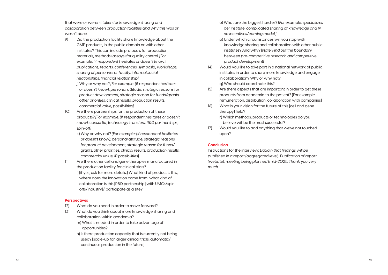- o) What are the biggest hurdles? *[For example: specialisms per institute, complicated sharing of knowledge and IP, no incentives/earning model.]*
- p) Under which circumstances will you stop with knowledge sharing and collaboration with other public institutes? And why? *[Note: Find out the boundary between pre-competitive research and competitive product development]*
- 14) Would you like to take part in a national network of public institutes in order to share more knowledge and engage in collaboration? Why or why not? q) Who should coordinate this?
- 15) Are there aspects that are important in order to get these products from academia to the patient? [For example, remuneration, distribution, collaboration with companies]
- 16) What is your vision for the future of this [cell and gene therapy] field?
	- r) Which methods, products or technologies do you believe will be the most successful?
- 17) Would you like to add anything that we've not touched upon?

#### **Conclusion**

Instructions for the interview: *Explain that findings will be published in a report (aggregated level). Publication of report (website), meeting being planned (mid-2021). Thank you very much.*

*that were or weren't taken for knowledge sharing and collaboration between production facilities and why this was or wasn't done.* 

- 9) Did the production facility share knowledge about the GMP products, in the public domain or with other institutes? This can include protocols for production, materials, methods (assays) for quality control. *[For example: (if respondent hesitates or doesn't know): publications, reports, conferences, symposia, workshops, sharing of personnel or facility, informal social relationships, financial relationship]* 
	- j) Why or why not? *[For example: (if respondent hesitates or doesn't know): personal attitude, strategic reasons for product development, strategic reason for funds/grants, other priorities, clinical results, production results, commercial value, possibilities]*
- 10) Are there partnerships for the production of these products? *[For example: (if respondent hesitates or doesn't know): consortia, technology transfers, R&D partnerships, spin-off]*
	- k) Why or why not? *[For example: (if respondent hesitates or doesn't know): personal attitude, strategic reasons for product development, strategic reason for funds/ grants, other priorities, clinical results, production results, commercial value, IP possibilities]*
- 11) Are there other cell and gene therapies manufactured in the production facility for clinical trials? l) [if yes, ask for more details;] What kind of product is this; where does the innovation come from; what kind of collaboration is this [R&D partnership [with UMCs/spinoffs/industry]/ participate as a site?

#### **Perspectives**

- 12) What do you need in order to move forward?
- 13) What do you think about more knowledge sharing and collaboration within academia?
	- m) What is needed in order to take advantage of opportunities?
	- n) Is there production capacity that is currently not being used? [scale-up for larger clinical trials, automatic/ continuous production in the future]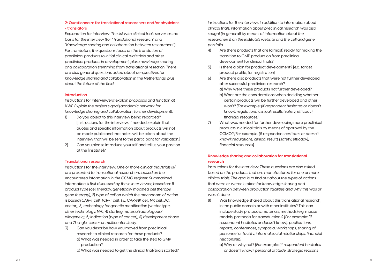*Instructions for the interview: In addition to information about clinical trials, information about preclinical research was also sought (in general) by means of information about the researcher(s) on the institute's website and the cell and gene portfolio.* 

- 4) Are there products that are (almost) ready for making the transition to GMP production from preclinical development for clinical trials?
- 5) Is there a plan for product development? [e.g. target product profile, for registration]
- 6) Are there also products that were not further developed after successful preclinical research? a) Why were these products not further developed? b) What are the considerations when deciding whether certain products will be further developed and other won't? *[For example: (if respondent hesitates or doesn't* 
	- *know): regulations, clinical results (safety, efficacy), financial resources]*
- 7) What was needed for further developing more preclinical products in clinical trials by means of approval by the CCMO? *[For example: (if respondent hesitates or doesn't know): regulations, clinical results (safety, efficacy), financial resources]*

#### **Knowledge sharing and collaboration for translational research**

*Instructions for the interview: These questions are also asked based on the products that are manufactured for one or more clinical trials. The goal is to find out about the types of actions that were or weren't taken for knowledge sharing and collaboration between production facilities and why this was or wasn't done.* 

- 8) Was knowledge shared about this translational research, in the public domain or with other institutes? This can include study protocols, materials, methods (e.g. mouse models, protocols for transduction)? *[For example: (if respondent hesitates or doesn't know): publications, reports, conferences, symposia, workshops, sharing of personnel or facility, informal social relationships, financial relationship]*
	- a) Why or why not? *[For example: (if respondent hesitates or doesn't know): personal attitude, strategic reasons*

#### **2: Questionnaire for translational researchers and/or physicians - translators**

*Explanation for interview: The list with clinical trials serves as the basis for the interview (for "Translational research" and "Knowledge sharing and collaboration between researchers"). For translators, the questions focus on the translation of preclinical products to initial clinical trial/trials and other preclinical products in development, plus knowledge sharing and collaboration stemming from translational research. There are also general questions asked about perspectives for knowledge sharing and collaboration in the Netherlands, plus about the future of the field.* 

#### **Introduction**

*Instructions for interviewers: explain proposals and function at KWF. Explain the project's goal (academic network for knowledge sharing and collaboration; further development).* 

- 1) Do you object to this interview being recorded? [Instructions for the interview: If needed, explain that quotes and specific information about products will not be made public and that notes will be taken about the interview that will be sent to the participant for validation.]
- 2) Can you please introduce yourself and tell us your position at the [institute]?

#### **Translational research**

*Instructions for the interview: One or more clinical trial/trials is/ are presented to translational researchers, based on the encountered information in the CCMO register. Summarized information is first discussed by the in interviewer, based on: 1) product type (cell therapy, genetically modified cell therapy, gene therapy), 2) type of cell on which the mechanism of action is based (CAR-T cell, TCR-T cell, TIL, CAR-NK cell, NK cell, DC, vector), 3) technology for genetic modification (vector type, other technology, NA), 4) starting material (autologous/ allogeneic), 5) indication (type of cancer), 6) development phase, and 7) single-center or multicenter study.*

- 3) Can you describe how you moved from preclinical research to clinical research for these products? a) What was needed in order to take the step to GMP production?
	- b) What was needed to get the clinical trial/trials started?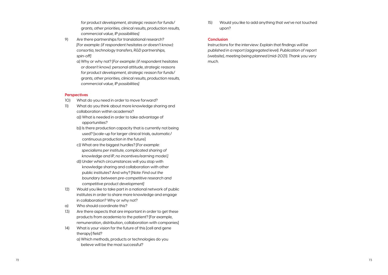15) Would you like to add anything that we've not touched upon?

#### **Conclusion**

Instructions for the interview: *Explain that findings will be published in a report (aggregated level). Publication of report (website), meeting being planned (mid-2021). Thank you very much.* 

*for product development, strategic reason for funds/ grants, other priorities, clinical results, production results, commercial value, IP possibilities]* 

- 9) Are there partnerships for translational research? *[For example: (if respondent hesitates or doesn't know): consortia, technology transfers, R&D partnerships, spin-off]*
	- a) Why or why not? *[For example: (if respondent hesitates or doesn't know): personal attitude, strategic reasons for product development, strategic reason for funds/ grants, other priorities, clinical results, production results, commercial value, IP possibilities]*

#### **Perspectives**

- 10) What do you need in order to move forward?
- 11) What do you think about more knowledge sharing and collaboration within academia?
	- a)) What is needed in order to take advantage of opportunities?
	- b)) Is there production capacity that is currently not being used? [scale-up for larger clinical trials, automatic/ continuous production in the future]
	- c)) What are the biggest hurdles? *[For example: specialisms per institute, complicated sharing of knowledge and IP, no incentives/earning model.]*
	- d)) Under which circumstances will you stop with knowledge sharing and collaboration with other public institutes? And why? *[Note: Find out the boundary between pre-competitive research and competitive product development]*
- 12) Would you like to take part in a national network of public institutes in order to share more knowledge and engage in collaboration? Why or why not?
- a) Who should coordinate this?
- 13) Are there aspects that are important in order to get these products from academia to the patient? [For example, remuneration, distribution, collaboration with companies]
- 14) What is your vision for the future of this [cell and gene therapy] field?
	- a) Which methods, products or technologies do you believe will be the most successful?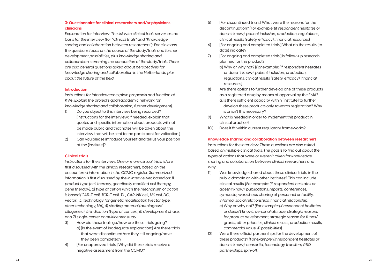- 5) [For discontinued trials:] What were the reasons for the discontinuation? *[For example: (if respondent hesitates or doesn't know): patient inclusion, production, regulations, clinical results (safety, efficacy), financial resources]*
- 6) [For ongoing and completed trials:] What do the results (to date) indicate?
- 7) [For ongoing and completed trials:] Is follow-up research planned for this product?
	- b) Why or why not? *[For example: (if respondent hesitates or doesn't know): patient inclusion, production, regulations, clinical results (safety, efficacy), financial resources]*
- 8) Are there options to further develop one of these products as a registered drug by means of approval by the EMA? a. Is there sufficient capacity within [institute] to further
	- develop these products only towards registration? Why is or isn't this necessary?
- 9) What is needed in order to implement this product in clinical practice?
- 10) Does it fit within current regulatory frameworks?

**Knowledge sharing and collaboration between researchers**

*Instructions for the interview: These questions are also asked based on multiple clinical trials. The goal is to find out about the types of actions that were or weren't taken for knowledge sharing and collaboration between clinical researchers and why.*

- 11) Was knowledge shared about these clinical trials, in the public domain or with other institutes? This can include clinical results. *[For example: (if respondent hesitates or doesn't know): publications, reports, conferences, symposia, workshops, sharing of personnel or facility, informal social relationships, financial relationship]* 
	- c) Why or why not? *[For example: (if respondent hesitates or doesn't know): personal attitude, strategic reasons for product development, strategic reason for funds/ grants, other priorities, clinical results, production results, commercial value, IP possibilities]*
- 12) Were there official partnerships for the development of these products? *[For example: (if respondent hesitates or doesn't know): consortia, technology transfers, R&D partnerships, spin-off]*

#### **3: Questionnaire for clinical researchers and/or physicians clinicians**

*Explanation for interview: The list with clinical trials serves as the basis for the interview (for "Clinical trials" and "Knowledge sharing and collaboration between researchers"). For clinicians, the questions focus on the course of the study/trials and further development possibilities, plus knowledge sharing and collaboration stemming the conduction of the study/trials. There are also general questions asked about perspectives for knowledge sharing and collaboration in the Netherlands, plus about the future of the field.* 

#### **Introduction**

*Instructions for interviewers: explain proposals and function at KWF. Explain the project's goal (academic network for knowledge sharing and collaboration; further development).* 

- 1) Do you object to this interview being recorded? [Instructions for the interview: If needed, explain that quotes and specific information about products will not be made public and that notes will be taken about the interview that will be sent to the participant for validation.]
- 2) Can you please introduce yourself and tell us your position at the [institute]?

#### **Clinical trials**

*Instructions for the interview: One or more clinical trials is/are first discussed with the clinical researchers, based on the encountered information in the CCMO register. Summarized information is first discussed by the in interviewer, based on: 1) product type (cell therapy, genetically modified cell therapy, gene therapy), 2) type of cell on which the mechanism of action is based (CAR-T cell, TCR-T cell, TIL, CAR-NK cell, NK cell, DC, vector), 3) technology for genetic modification (vector type, other technology, NA), 4) starting material (autologous/ allogeneic), 5) indication (type of cancer), 6) development phase, and 7) single-center or multicenter study.*

- 3) How did these trials go/how are these trials going? a) [In the event of inadequate explanation:] Are there trials that were discontinued/are they still ongoing/have they been completed?
- 4) [For unapproved trials:] Why did these trials receive a negative assessment from the CCMO?